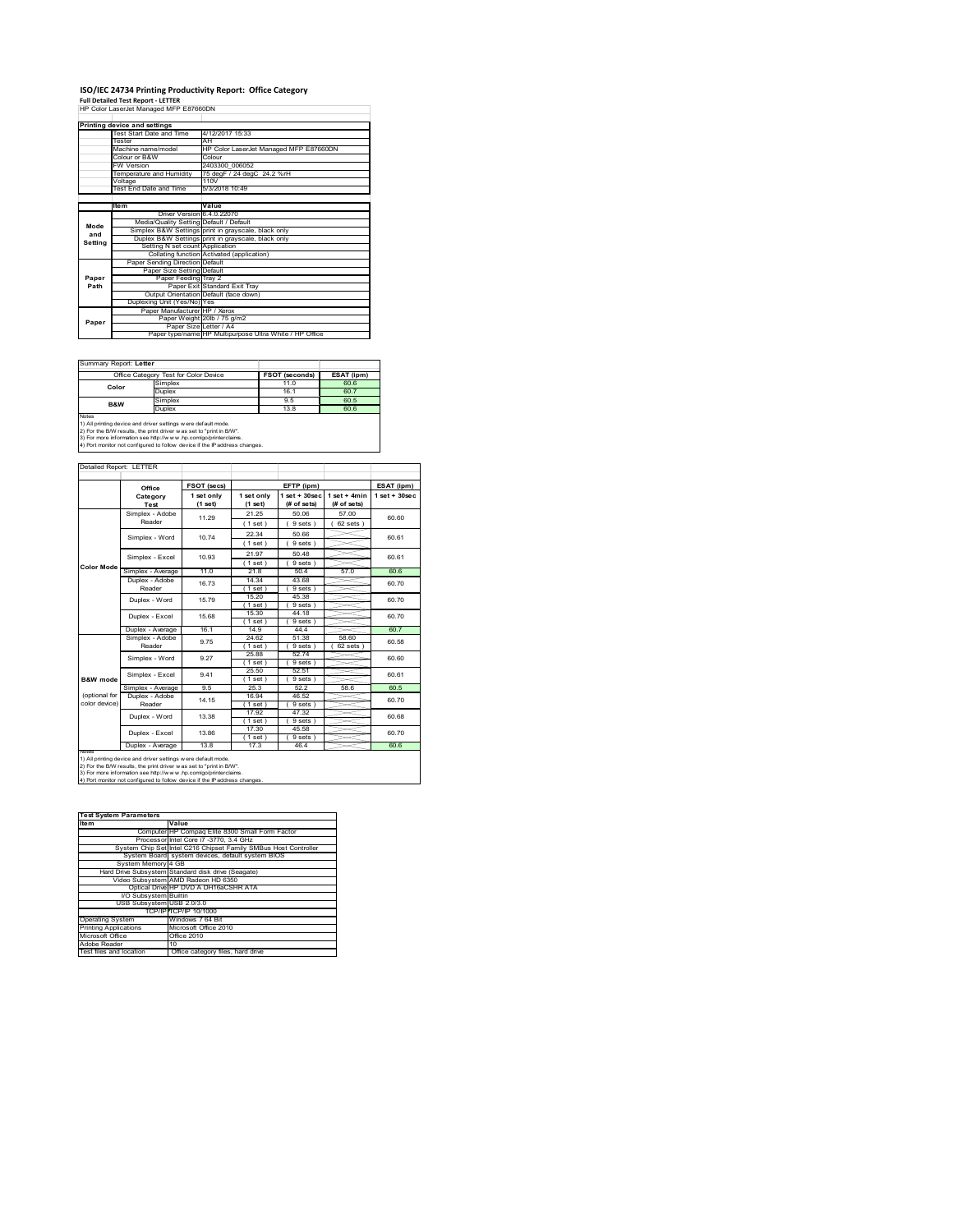## **ISO/IEC 24734 Printing Productivity Report: Office Category Full Detailed Test Report ‐ LETTER** HP Color LaserJet Managed MFP E87660DN

|         | <u>HF CON Lassivel Managed MFF E0/000DN</u> |                                                         |  |  |
|---------|---------------------------------------------|---------------------------------------------------------|--|--|
|         | Printing device and settings                |                                                         |  |  |
|         | Test Start Date and Time                    | 4/12/2017 15:33                                         |  |  |
|         | Tester                                      | AH                                                      |  |  |
|         | Machine name/model                          | HP Color LaserJet Managed MFP E87660DN                  |  |  |
|         | Colour or B&W                               | Colour                                                  |  |  |
|         | <b>FW Version</b>                           | 2403300 006052                                          |  |  |
|         | Temperature and Humidity                    | 75 degF / 24 degC 24.2 %rH                              |  |  |
|         | Voltage                                     | 110V                                                    |  |  |
|         | <b>Test End Date and Time</b>               | 5/3/2018 10:49                                          |  |  |
|         |                                             |                                                         |  |  |
|         | <b>Item</b>                                 | Value                                                   |  |  |
|         | Driver Version 6.4.0.22070                  |                                                         |  |  |
| Mode    | Media/Quality Setting Default / Default     |                                                         |  |  |
| and     |                                             | Simplex B&W Settings print in grayscale, black only     |  |  |
| Setting |                                             | Duplex B&W Settings print in grayscale, black only      |  |  |
|         | Setting N set count Application             |                                                         |  |  |
|         |                                             | Collating function Activated (application)              |  |  |
|         | Paper Sending Direction Default             |                                                         |  |  |
|         | Paper Size Setting Default                  |                                                         |  |  |
| Paper   | Paper Feeding Tray 2                        |                                                         |  |  |
| Path    |                                             | Paper Exit Standard Exit Trav                           |  |  |
|         |                                             | Output Orientation Default (face down)                  |  |  |
|         | Duplexing Unit (Yes/No) Yes                 |                                                         |  |  |
|         | Paper Manufacturer HP / Xerox               |                                                         |  |  |
| Paper   |                                             | Paper Weight 20lb / 75 g/m2                             |  |  |
|         | Paper Size Letter / A4                      | Paper type/name HP Multipurpose Ultra White / HP Office |  |  |
|         |                                             |                                                         |  |  |

#### Summary Report: **Letter**

|                                                                            | Office Category Test for Color Device | <b>FSOT (seconds)</b> | ESAT (ipm) |  |  |
|----------------------------------------------------------------------------|---------------------------------------|-----------------------|------------|--|--|
| Color                                                                      | Simplex                               | 11.0                  | 60.6       |  |  |
|                                                                            | <b>Duplex</b>                         | 16.1                  | 60.7       |  |  |
| <b>B&amp;W</b>                                                             | Simplex                               | 9.5                   | 60.5       |  |  |
|                                                                            | <b>Duplex</b>                         | 13.8                  |            |  |  |
| Notes                                                                      |                                       |                       |            |  |  |
| 1) All printing device and driver settings w ere default mode.             |                                       |                       |            |  |  |
| 2) For the B/W results, the print driver was set to "print in B/W".        |                                       |                       |            |  |  |
| 3) For more information see http://www.hp.com/go/printerclaims.            |                                       |                       |            |  |  |
| 4) Port monitor not configured to follow device if the IP address changes. |                                       |                       |            |  |  |

| Detailed Report: LETTER        |                           |                       |                         |                                   |                               |                    |
|--------------------------------|---------------------------|-----------------------|-------------------------|-----------------------------------|-------------------------------|--------------------|
|                                | Office                    | FSOT (secs)           |                         | EFTP (ipm)                        |                               | ESAT (ipm)         |
|                                | Category<br>Test          | 1 set only<br>(1 set) | 1 set only<br>$(1$ set) | $1$ set + $30$ sec<br>(# of sets) | $1$ set + 4min<br>(# of sets) | $1$ set + $30$ sec |
|                                | Simplex - Adobe<br>Reader | 11.29                 | 21.25<br>(1 set)        | 50.06<br>9 sets)                  | 57.00<br>62 sets              | 60.60              |
|                                | Simplex - Word            | 1074                  | 22.34<br>(1 set)        | 50.66<br>9 sets                   |                               | 60.61              |
| <b>Color Mode</b>              | Simplex - Excel           | 10.93                 | 21.97<br>(1 set)        | 50 48<br>9 sets)                  |                               | 60.61              |
|                                | Simplex - Average         | 11.0                  | 218                     | 504                               | 57.0                          | 60.6               |
|                                | Duplex - Adobe<br>Reader  | 1673                  | 14.34<br>$1$ set)       | 43.68<br>9 sets)                  |                               | 60.70              |
|                                | Duplex - Word             | 15.79                 | 15.20<br>$1$ set)       | 45.38<br>9 sets                   |                               | 60.70              |
|                                | Duplex - Excel            | 15.68                 | 15.30<br>(1 set)        | 44.18<br>9 sets)                  |                               | 60 70              |
|                                | Duplex - Average          | 161                   | 14 9                    | 4444                              |                               | 60 7               |
|                                | Simplex - Adobe<br>Reader | 975                   | 24.62<br>$1$ set)       | 51.38<br>9 sets)                  | 58.60<br>62 sets              | 60.58              |
|                                | Simplex - Word            | 9.27                  | 2588<br>(1 set)         | 5274<br>9 sets)                   |                               | 60.60              |
| B&W mode                       | Simplex - Excel           | 941                   | 25.50<br>$1$ set)       | 52.51<br>9 sets)                  |                               | 60.61              |
|                                | Simplex - Average         | 9.5                   | 25.3                    | 52.2                              | 58.6                          | 60.5               |
| (optional for<br>color device) | Duplex - Adobe<br>Reader  | 14 15                 | 16.94<br>$1$ set)       | 46.52<br>9 sets)                  |                               | 60 70              |
|                                | Duplex - Word             | 13.38                 | 1792<br>(1 set)         | 47 32<br>9 sets)                  |                               | 60.68              |
|                                | Duplex - Excel            | 13.86                 | 17.30<br>$1$ set)       | 45.58<br>9 sets)                  |                               | 60.70              |
| Notes                          | Duplex - Average          | 13.8                  | 17.3                    | 46.4                              |                               | 60.6               |

**hats**<br>1) All printing device and driver settings were default mode.<br>2) For the B/W results, the print driver was set to "print in B/W".<br>3) For more information see http://www.hp.com/go/printerclaims.<br>4) Port monitor not c

| <b>Test System Parameters</b> |                                                                 |
|-------------------------------|-----------------------------------------------------------------|
| <b>Item</b>                   | Value                                                           |
|                               | Computer HP Compag Elite 8300 Small Form Factor                 |
|                               | Processor Intel Core i7 -3770, 3.4 GHz                          |
|                               | System Chip Set Intel C216 Chipset Family SMBus Host Controller |
|                               | System Board system devices, default system BIOS                |
| System Memory 4 GB            |                                                                 |
|                               | Hard Drive Subsystem Standard disk drive (Seagate)              |
|                               | Video Subsystem AMD Radeon HD 6350                              |
|                               | Optical Drive HP DVD A DH16aCSHR ATA                            |
| I/O Subsystem Builtin         |                                                                 |
|                               | USB Subsystem USB 2.0/3.0                                       |
|                               | TCP/IPITCP/IP 10/1000                                           |
| <b>Operating System</b>       | Windows 7 64 Bit                                                |
| <b>Printing Applications</b>  | Microsoft Office 2010                                           |
| Microsoft Office              | Office 2010                                                     |
| Adobe Reader                  | 10                                                              |

Adobe Reader 10 Test files and location Office category files, hard drive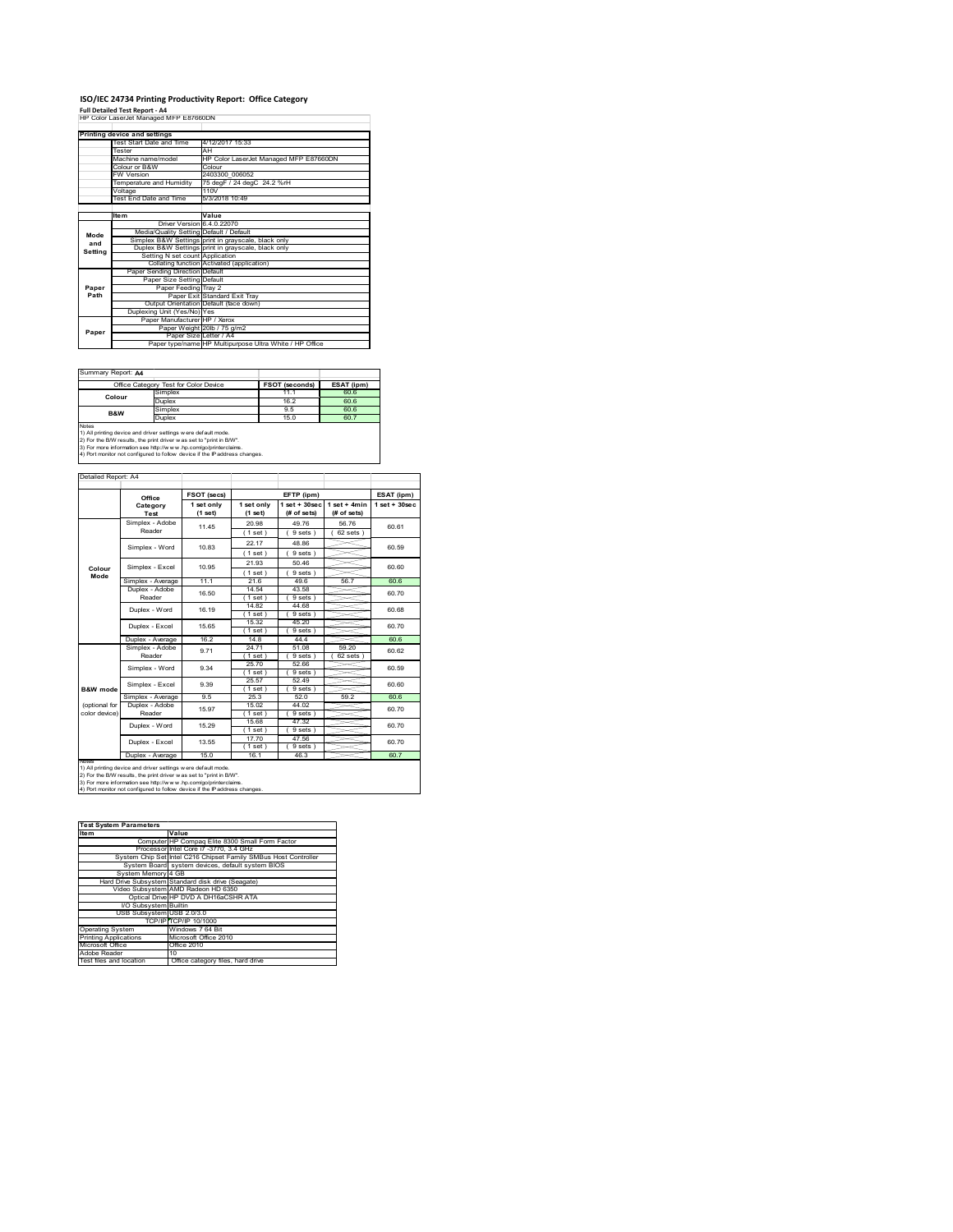## **ISO/IEC 24734 Printing Productivity Report: Office Category Full Detailed Test Report ‐ A4** HP Color LaserJet Managed MFP E87660DN

|         | Printing device and settings            |                                                         |  |  |
|---------|-----------------------------------------|---------------------------------------------------------|--|--|
|         | Test Start Date and Time                | 4/12/2017 15:33                                         |  |  |
|         | Tester                                  | AH                                                      |  |  |
|         | Machine name/model                      | HP Color LaserJet Managed MFP E87660DN                  |  |  |
|         | Colour or B&W                           | Colour                                                  |  |  |
|         | <b>FW Version</b>                       | 2403300 006052                                          |  |  |
|         | Temperature and Humidity                | 75 degF / 24 degC 24.2 %rH                              |  |  |
|         | Voltage                                 | 110V                                                    |  |  |
|         | <b>Test End Date and Time</b>           | 5/3/2018 10:49                                          |  |  |
|         |                                         |                                                         |  |  |
|         | <b>Item</b>                             | Value                                                   |  |  |
|         | Driver Version 6.4.0.22070              |                                                         |  |  |
| Mode    | Media/Quality Setting Default / Default |                                                         |  |  |
| and     |                                         | Simplex B&W Settings print in grayscale, black only     |  |  |
| Settina |                                         | Duplex B&W Settings print in grayscale, black only      |  |  |
|         | Setting N set count Application         |                                                         |  |  |
|         |                                         | Collating function Activated (application)              |  |  |
|         | Paper Sending Direction Default         |                                                         |  |  |
|         | Paper Size Setting Default              |                                                         |  |  |
| Paper   | Paper Feeding Tray 2                    |                                                         |  |  |
| Path    |                                         | Paper Exit Standard Exit Trav                           |  |  |
|         |                                         | Output Orientation Default (face down)                  |  |  |
|         | Duplexing Unit (Yes/No) Yes             |                                                         |  |  |
|         | Paper Manufacturer HP / Xerox           |                                                         |  |  |
| Paper   |                                         | Paper Weight 20lb / 75 g/m2                             |  |  |
|         | Paper Size Letter / A4                  |                                                         |  |  |
|         |                                         | Paper type/name HP Multipurpose Ultra White / HP Office |  |  |

Ť.

#### Summary Report: **A4**

| isummary Report: A4 |                                                                                                                                                                                                           |                       |            |
|---------------------|-----------------------------------------------------------------------------------------------------------------------------------------------------------------------------------------------------------|-----------------------|------------|
|                     | Office Category Test for Color Device                                                                                                                                                                     | <b>FSOT (seconds)</b> | ESAT (ipm) |
| Colour              | Simplex                                                                                                                                                                                                   | 11.1                  | 60.6       |
|                     | <b>Duplex</b>                                                                                                                                                                                             | 16.2                  | 60.6       |
| <b>B&amp;W</b>      | Simplex                                                                                                                                                                                                   | 9.5                   | 60.6       |
|                     | <b>Duplex</b>                                                                                                                                                                                             | 15.0                  | 60.7       |
| <b>Notes</b>        | 1) All printing device and driver settings w ere default mode.<br>2) For the B/W results, the print driver w as set to "print in B/W".<br>3) For more information see http://www.hp.com/go/printerclaims. |                       |            |
|                     | 4) Port monitor not configured to follow device if the IP address changes.                                                                                                                                |                       |            |

|                                | Office                    | FSOT (secs)           |                         | EFTP (ipm)                     |                               | ESAT (ipm)         |
|--------------------------------|---------------------------|-----------------------|-------------------------|--------------------------------|-------------------------------|--------------------|
|                                | Category<br><b>Test</b>   | 1 set only<br>(1 set) | 1 set only<br>$(1$ set) | $1$ set + 30sec<br>(# of sets) | $1$ set + 4min<br>(# of sets) | $1$ set + $30$ sec |
|                                | Simplex - Adobe<br>Reader | 11 45                 | 20.98<br>(1 set)        | 49 76<br>9 sets)               | 56 76<br>$62$ sets $)$        | 60.61              |
|                                | Simplex - Word            | 1083                  | 22.17<br>1 set)         | 48.86<br>9 sets)               |                               | 60.59              |
| Colour                         | Simplex - Excel           | 10.95                 | 21.93<br>(1 set)        | 50.46<br>9 sets)               |                               | 60.60              |
| Mode                           | Simplex - Average         | 11.1                  | 21.6                    | 49.6                           | 56.7                          | 60.6               |
|                                | Duplex - Adobe<br>Reader  | 16.50                 | 14.54<br>$1$ set)       | 43.58<br>9 sets 1              |                               | 60 70              |
|                                | Duplex - Word             | 16 19                 | 14.82<br>$1$ set $)$    | 44.68<br>9 sets)               |                               | 60.68              |
|                                | Duplex - Excel            | 15.65                 | 15.32<br>$1$ set $)$    | 45.20<br>9 sets                |                               | 60.70              |
|                                | Duplex - Average          | 16.2                  | 14.8                    | 4444                           |                               | 60.6               |
|                                | Simplex - Adobe<br>Reader | 9.71                  | 24.71<br>$1$ set $)$    | 51.08<br>9 sets                | 59.20<br>62 sets 1            | 60.62              |
|                                | Simplex - Word            | 9.34                  | 25.70<br>$1$ set $)$    | 52.66<br>9 sets)               |                               | 60.59              |
| B&W mode                       | Simplex - Excel           | 9.39                  | 25.57<br>$1$ set)       | 52.49<br>9 sets)               |                               | 60.60              |
|                                | Simplex - Average         | 9.5                   | 25.3                    | 52.0                           | 59.2                          | 60.6               |
| (optional for<br>color device) | Duplex - Adobe<br>Reader  | 15.97                 | 15.02<br>$Test$ )       | 44.02<br>9 sets)               |                               | 60.70              |
|                                | Duplex - Word             | 15 29                 | 15.68<br>$1$ set        | 47.32<br>9 sets)               |                               | 60 70              |
|                                | Duplex - Excel            | 13.55                 | 17.70<br>$1$ set $)$    | 47.56<br>9 sets                |                               | 60.70              |
|                                | Duplex - Average          | 15.0                  | 16.1                    | 46.3                           |                               | 60.7               |

1) All printing device and driver settings were default mode.<br>2) For the B/W results, the print driver was set to "print in B/W".<br>3) For more information see http://www.hp.com/go/printerclaims.<br>4) Port monitor not configur

| <b>Test System Parameters</b> |                                                                 |  |  |
|-------------------------------|-----------------------------------------------------------------|--|--|
| ltem                          | Value                                                           |  |  |
|                               | Computer HP Compag Elite 8300 Small Form Factor                 |  |  |
|                               | Processor Intel Core i7 -3770, 3.4 GHz                          |  |  |
|                               | System Chip Set Intel C216 Chipset Family SMBus Host Controller |  |  |
|                               | System Board system devices, default system BIOS                |  |  |
| System Memory 4 GB            |                                                                 |  |  |
|                               | Hard Drive Subsystem Standard disk drive (Seagate)              |  |  |
|                               | Video Subsystem AMD Radeon HD 6350                              |  |  |
|                               | Optical Drive HP DVD A DH16aCSHR ATA                            |  |  |
| <b>VO Subsystem Builtin</b>   |                                                                 |  |  |
| USB Subsystem USB 2.0/3.0     |                                                                 |  |  |
|                               | TCP/IPITCP/IP 10/1000                                           |  |  |
| <b>Operating System</b>       | Windows 7 64 Bit                                                |  |  |
| <b>Printing Applications</b>  | Microsoft Office 2010                                           |  |  |
| Microsoft Office              | Office 2010                                                     |  |  |
| Adobe Reader                  | 10                                                              |  |  |
| Test files and location       | Office category files, hard drive                               |  |  |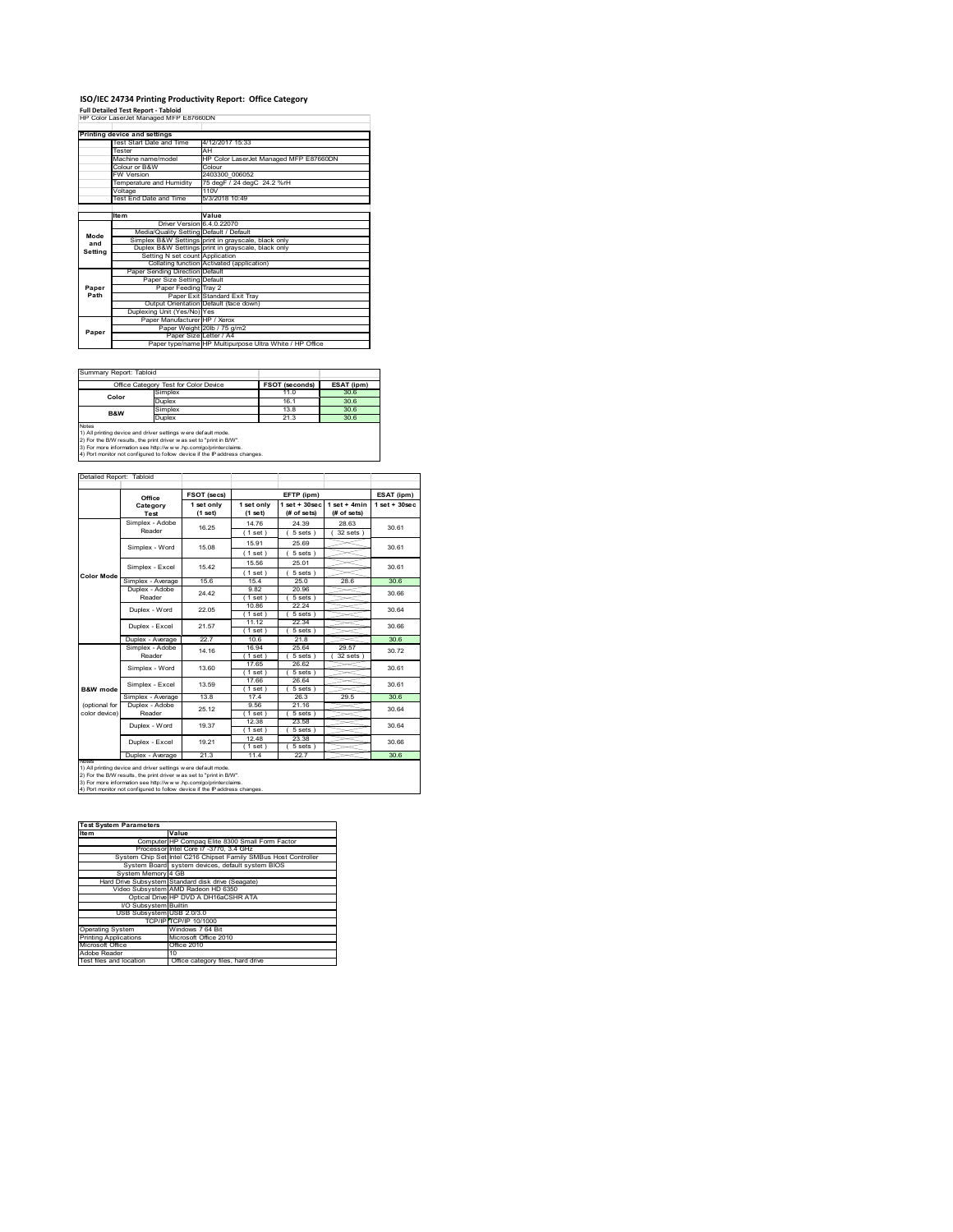## **ISO/IEC 24734 Printing Productivity Report: Office Category Full Detailed Test Report ‐ Tabloid** HP Color LaserJet Managed MFP E87660DN

|         | Printing device and settings            |                                                         |  |  |
|---------|-----------------------------------------|---------------------------------------------------------|--|--|
|         | Test Start Date and Time                | 4/12/2017 15:33                                         |  |  |
|         | Tester                                  | AH                                                      |  |  |
|         | Machine name/model                      | HP Color LaserJet Managed MFP E87660DN                  |  |  |
|         | Colour or B&W                           | Colour                                                  |  |  |
|         | <b>FW Version</b>                       | 2403300 006052                                          |  |  |
|         | Temperature and Humidity                | 75 degF / 24 degC 24.2 %rH                              |  |  |
|         | Voltage                                 | 110V                                                    |  |  |
|         | <b>Test End Date and Time</b>           | 5/3/2018 10:49                                          |  |  |
|         |                                         |                                                         |  |  |
|         | <b>Item</b>                             | Value                                                   |  |  |
|         | Driver Version 6.4.0.22070              |                                                         |  |  |
| Mode    | Media/Quality Setting Default / Default |                                                         |  |  |
| and     |                                         | Simplex B&W Settings print in grayscale, black only     |  |  |
| Settina |                                         | Duplex B&W Settings print in grayscale, black only      |  |  |
|         | Setting N set count Application         |                                                         |  |  |
|         |                                         | Collating function Activated (application)              |  |  |
|         | Paper Sending Direction Default         |                                                         |  |  |
|         | Paper Size Setting Default              |                                                         |  |  |
| Paper   | Paper Feeding Tray 2                    |                                                         |  |  |
| Path    |                                         | Paper Exit Standard Exit Tray                           |  |  |
|         |                                         | Output Orientation Default (face down)                  |  |  |
|         | Duplexing Unit (Yes/No) Yes             |                                                         |  |  |
|         | Paper Manufacturer HP / Xerox           |                                                         |  |  |
| Paper   |                                         | Paper Weight 20lb / 75 g/m2                             |  |  |
|         | Paper Size Letter / A4                  |                                                         |  |  |
|         |                                         | Paper type/name HP Multipurpose Ultra White / HP Office |  |  |

 $\overline{\phantom{a}}$ 

#### $\mathbf{r}$ Summary Report: Tabloid

|                                                                                                                                                | Office Category Test for Color Device | <b>FSOT (seconds)</b> | ESAT (ipm) |  |  |
|------------------------------------------------------------------------------------------------------------------------------------------------|---------------------------------------|-----------------------|------------|--|--|
| Simplex                                                                                                                                        |                                       | 11.0                  | 30.6       |  |  |
| Color                                                                                                                                          | <b>Duplex</b>                         | 161                   | 30.6       |  |  |
| <b>B&amp;W</b>                                                                                                                                 | Simplex                               | 13.8                  | 30.6       |  |  |
|                                                                                                                                                | Duplex                                | 21.3                  | 30.6       |  |  |
| Notes<br>1) All printing device and driver settings w ere default mode.<br>2) For the B/W results, the print driver was set to "print in B/W". |                                       |                       |            |  |  |

2) For the B/W results, the print driver w as set to "print in B/W".<br>3) For more information see http://w w w .hp.com/go/printerclaims.<br>4) Port monitor not configured to follow device if the IP address changes.

|               | Office                    | FSOT (secs)             |                         | EFTP (ipm)                     |                               | ESAT (ipm)         |
|---------------|---------------------------|-------------------------|-------------------------|--------------------------------|-------------------------------|--------------------|
|               | Category<br><b>Test</b>   | 1 set only<br>$(1$ set) | 1 set only<br>$(1$ set) | $1$ set + 30sec<br>(# of sets) | $1$ set + 4min<br>(# of sets) | $1$ set + $30$ sec |
|               | Simplex - Adobe           | 16.25                   | 14 76                   | 24.39                          | 28.63                         | 30.61              |
|               | Reader                    |                         | (1 set)                 | 5 sets)                        | $32$ sets $)$                 |                    |
|               | Simplex - Word            | 15.08                   | 1591                    | 25.69                          |                               | 30.61              |
|               |                           |                         | (1 set)                 | 5 sets)                        |                               |                    |
|               | Simplex - Excel           | 1542                    | 15.56                   | 25.01                          |                               | 30.61              |
| Color Mode    |                           |                         | (1 set)                 | $5 sets$ )                     |                               |                    |
|               | Simplex - Average         | 15.6                    | 15.4                    | 25.0                           | 28.6                          | 30.6               |
|               | Duplex - Adobe            | 24 42                   | 9.82                    | 20.96                          |                               | 30.66              |
|               | Reader                    |                         | (1 set)                 | $5 sets$ )                     |                               |                    |
|               | Duplex - Word             |                         | 10.86                   | 22.24                          |                               | 30 64              |
|               |                           | 22.05                   | (1 set)                 | 5 sets)                        |                               |                    |
|               | Duplex - Excel            | 21.57                   | 11 12                   | 22.34                          |                               | 30.66              |
|               |                           |                         | $1$ set $)$             | 5 sets)                        |                               |                    |
|               | Duplex - Average          | 22.7                    | 106                     | 21.8                           |                               | 30.6               |
|               | Simplex - Adobe<br>Reader | 14.16                   | 16.94                   | 25.64                          | 29.57                         | 30.72              |
|               |                           |                         | 1 set                   | 5 sets)                        | 32 sets                       |                    |
|               | Simplex - Word            | 13.60                   | 17.65                   | 26.62                          |                               | 30.61<br>30.61     |
|               |                           |                         | (1 set                  | 5 sets)                        |                               |                    |
|               | Simplex - Excel           | 13.59                   | 17.66                   | 26.64                          |                               |                    |
| B&W mode      |                           |                         | (1 set)                 | $5 sets$ )                     |                               |                    |
|               | Simplex - Average         | 13.8                    | 17.4                    | 26.3                           | 29.5                          | 30.6               |
| (optional for | Duplex - Adobe            | 25 12                   | 9.56                    | 21.16                          |                               | 30.64              |
| color device) | Reader                    |                         | $1$ set $)$             | 5 sets)                        |                               |                    |
|               | Duplex - Word             | 19.37                   | 12.38                   | 23.58                          |                               | 30.64              |
|               |                           |                         | (1 set)                 | 5 sets)                        |                               |                    |
|               | Duplex - Excel            | 19.21                   | 12.48                   | 23.38                          |                               | 30.66              |
|               |                           |                         | $1$ set $)$             | 5 sets)                        |                               |                    |
| NOTAS         | Duplex - Average          | 21.3                    | 11.4                    | 22.7                           |                               | 30.6               |

| <b>Test System Parameters</b> |                                                                 |
|-------------------------------|-----------------------------------------------------------------|
| ltem                          | Value                                                           |
|                               | Computer HP Compag Elite 8300 Small Form Factor                 |
|                               | Processor Intel Core i7 -3770, 3.4 GHz                          |
|                               | System Chip Set Intel C216 Chipset Family SMBus Host Controller |
|                               | System Board system devices, default system BIOS                |
| System Memory 4 GB            |                                                                 |
|                               | Hard Drive Subsystem Standard disk drive (Seagate)              |
|                               | Video Subsystem AMD Radeon HD 6350                              |
|                               | Optical Drive HP DVD A DH16aCSHR ATA                            |
| <b>I/O Subsystem Builtin</b>  |                                                                 |
| USB Subsystem USB 2.0/3.0     |                                                                 |
|                               | TCP/IPITCP/IP 10/1000                                           |
| <b>Operating System</b>       | Windows 7 64 Bit                                                |
| <b>Printing Applications</b>  | Microsoft Office 2010                                           |
| Microsoft Office              | Office 2010                                                     |
| Adobe Reader                  | 10                                                              |
| Test files and location       | Office category files, hard drive                               |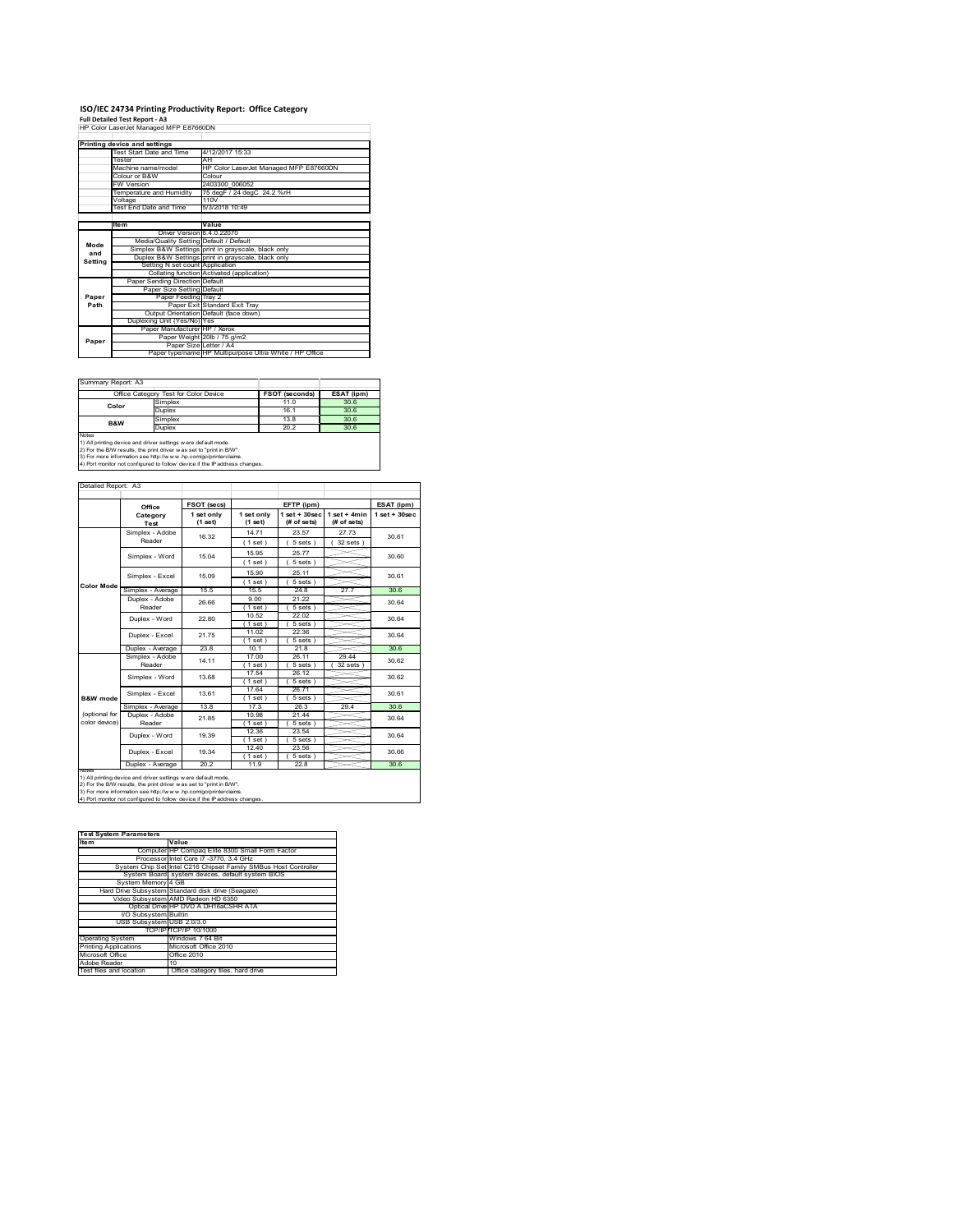## **ISO/IEC 24734 Printing Productivity Report: Office Category Full Detailed Test Report ‐ A3** HP Color LaserJet Managed MFP E87660DN

|         | Fuil Detailed Test Report - A3          |                                                         |  |  |  |  |
|---------|-----------------------------------------|---------------------------------------------------------|--|--|--|--|
|         | HP Color LaserJet Managed MFP E87660DN  |                                                         |  |  |  |  |
|         |                                         |                                                         |  |  |  |  |
|         | Printing device and settings            |                                                         |  |  |  |  |
|         | Test Start Date and Time                | 4/12/2017 15:33                                         |  |  |  |  |
|         | Tester                                  | AH                                                      |  |  |  |  |
|         | Machine name/model                      | HP Color LaserJet Managed MFP E87660DN                  |  |  |  |  |
|         | Colour or B&W                           | Colour                                                  |  |  |  |  |
|         | FW Version                              | 2403300 006052                                          |  |  |  |  |
|         | Temperature and Humidity                | 75 degF / 24 degC 24.2 %rH                              |  |  |  |  |
|         | Voltage                                 | 110V                                                    |  |  |  |  |
|         | Test End Date and Time                  | 5/3/2018 10:49                                          |  |  |  |  |
|         |                                         |                                                         |  |  |  |  |
|         | <b>Item</b>                             | Value                                                   |  |  |  |  |
|         | Driver Version 6.4.0.22070              |                                                         |  |  |  |  |
| Mode    | Media/Quality Setting Default / Default |                                                         |  |  |  |  |
| and     |                                         | Simplex B&W Settings print in grayscale, black only     |  |  |  |  |
| Setting |                                         | Duplex B&W Settings print in grayscale, black only      |  |  |  |  |
|         | Setting N set count Application         |                                                         |  |  |  |  |
|         |                                         | Collating function Activated (application)              |  |  |  |  |
|         | Paper Sending Direction Default         |                                                         |  |  |  |  |
|         | Paper Size Setting Default              |                                                         |  |  |  |  |
| Paper   | Paper Feeding Tray 2                    |                                                         |  |  |  |  |
| Path    |                                         | Paper Exit Standard Exit Trav                           |  |  |  |  |
|         |                                         | Output Orientation Default (face down)                  |  |  |  |  |
|         | Duplexing Unit (Yes/No) Yes             |                                                         |  |  |  |  |
|         | Paper Manufacturer HP / Xerox           |                                                         |  |  |  |  |
| Paper   |                                         | Paper Weight 20lb / 75 g/m2                             |  |  |  |  |
|         | Paper Size Letter / A4                  |                                                         |  |  |  |  |
|         |                                         | Paper type/name HP Multipurpose Ultra White / HP Office |  |  |  |  |

|                | Office Category Test for Color Device | <b>FSOT (seconds)</b> | ESAT (ipm) |
|----------------|---------------------------------------|-----------------------|------------|
| Color          | Simplex                               | 11.0                  | 30.6       |
|                | Duplex                                | 161                   | 30.6       |
| <b>B&amp;W</b> | Simplex                               | 13.8                  | 30.6       |
|                | <b>Duplex</b>                         | 202                   | 30.6       |

 $\overline{\phantom{a}}$ 

 $\overline{\phantom{0}}$ 

2) For the B/W results, the print driver w as set to "print in B/W".<br>3) For more information see http://w w w .hp.com/go/printerclaims.<br>4) Port monitor not configured to follow device if the IP address changes.

### Detailed Report: A3

|                                | Office                   | FSOT (secs)           |                       | EFTP (ipm)                     |                               | ESAT (ipm)      |  |
|--------------------------------|--------------------------|-----------------------|-----------------------|--------------------------------|-------------------------------|-----------------|--|
|                                | Category<br><b>Test</b>  | 1 set only<br>(1 set) | 1 set only<br>(1 set) | $1$ set + 30sec<br>(# of sets) | $1$ set + 4min<br>(# of sets) | $1$ set + 30sec |  |
|                                | Simplex - Adobe          | 16.32                 | 14 71                 | 23.57                          | 27 73                         | 30.61           |  |
|                                | Reader                   |                       | (1 set)               | $5 sets$ )                     | $32$ sets $)$                 |                 |  |
|                                | Simplex - Word           | 15 04                 | 15.95                 | 25.77                          |                               | 30.60           |  |
|                                |                          |                       | (1 set)               | $5 sets$ )                     |                               |                 |  |
|                                | Simplex - Excel          | 15.09                 | 15 90                 | 25.11                          |                               | 30.61           |  |
| <b>Color Mode</b>              |                          |                       | (1 set)               | $5 sets$ )                     |                               |                 |  |
|                                | Simplex - Average        | 15 <sub>5</sub>       | 15.5                  | 24.8                           | 27.7                          | 306             |  |
|                                | Duplex - Adobe           | 26.66                 | 9.00                  | 21.22                          |                               | 30 64           |  |
|                                | Reader                   |                       | $1$ set)              | 5 sets)                        |                               |                 |  |
|                                | Duplex - Word            | 22.80                 | 10.52                 | 22.02                          |                               | 30 64           |  |
|                                |                          |                       | $1$ set)              | 5 sets)                        |                               |                 |  |
|                                | Duplex - Excel           | 2175                  | 11.02                 | 22.36                          |                               | 30 64           |  |
|                                |                          |                       | $1$ set)              | $5 sets$ )                     |                               |                 |  |
|                                | Duplex - Average         | 23.8                  | 10 <sub>1</sub>       | 21.8                           |                               | 30.6            |  |
|                                | Simplex - Adobe          | 14 11                 | 17.00                 | 26 11                          | 29.44                         | 30.62           |  |
|                                | Reader                   |                       | $1$ set               | $5 sets$ )                     | 32 sets                       |                 |  |
|                                | Simplex - Word           | 13.68                 | 17.54                 | 26.12                          |                               | 30.62           |  |
|                                |                          |                       | 1 set 1               | $5 sets$ )                     |                               |                 |  |
|                                | Simplex - Excel          | 1361                  | 17.64                 | 26.71                          |                               | 30.61           |  |
| B&W mode                       |                          |                       | 1 set                 | 5 sets)                        |                               |                 |  |
|                                | Simplex - Average        | 13.8                  | 17.3                  | 26.3                           | 29.4                          | 30.6            |  |
| (optional for<br>color device) | Duplex - Adobe<br>Reader | 21.85                 | 10.98                 | 21.44                          |                               | 30.64           |  |
|                                |                          |                       | $1$ set               | 5 sets)                        |                               |                 |  |
|                                | Duplex - Word            | 19.39                 | 12.36                 | 23.54                          |                               | 30.64           |  |
|                                |                          |                       | (1 set)<br>12.40      | $5 sets$ )<br>23.56            |                               |                 |  |
|                                | Duplex - Excel           | 19 34                 |                       | 5 sets                         |                               | 30.66           |  |
|                                |                          | 20.2                  | 1 set<br>11.9         | 22.8                           |                               | 30.6            |  |
| <b>IVOLUS</b>                  | Duplex - Average         |                       |                       |                                |                               |                 |  |

| <b>Test System Parameters</b> |                                                                 |
|-------------------------------|-----------------------------------------------------------------|
| Item                          | Value                                                           |
|                               | Computer HP Compag Elite 8300 Small Form Factor                 |
|                               | Processor Intel Core i7 -3770, 3.4 GHz                          |
|                               | System Chip Set Intel C216 Chipset Family SMBus Host Controller |
|                               | System Board system devices, default system BIOS                |
| System Memory 4 GB            |                                                                 |
|                               | Hard Drive Subsystem Standard disk drive (Seagate)              |
|                               | Video Subsystem AMD Radeon HD 6350                              |
|                               | Optical Drive HP DVD A DH16aCSHR ATA                            |
| <b>VO Subsystem Builtin</b>   |                                                                 |
|                               | USB Subsystem USB 2.0/3.0                                       |
|                               | TCP/IPITCP/IP 10/1000                                           |
| <b>Operating System</b>       | Windows 7 64 Bit                                                |
| <b>Printing Applications</b>  | Microsoft Office 2010                                           |
| Microsoft Office              | Office 2010                                                     |
| Adobe Reader                  | 10                                                              |
| Test files and location       | Office category files, hard drive                               |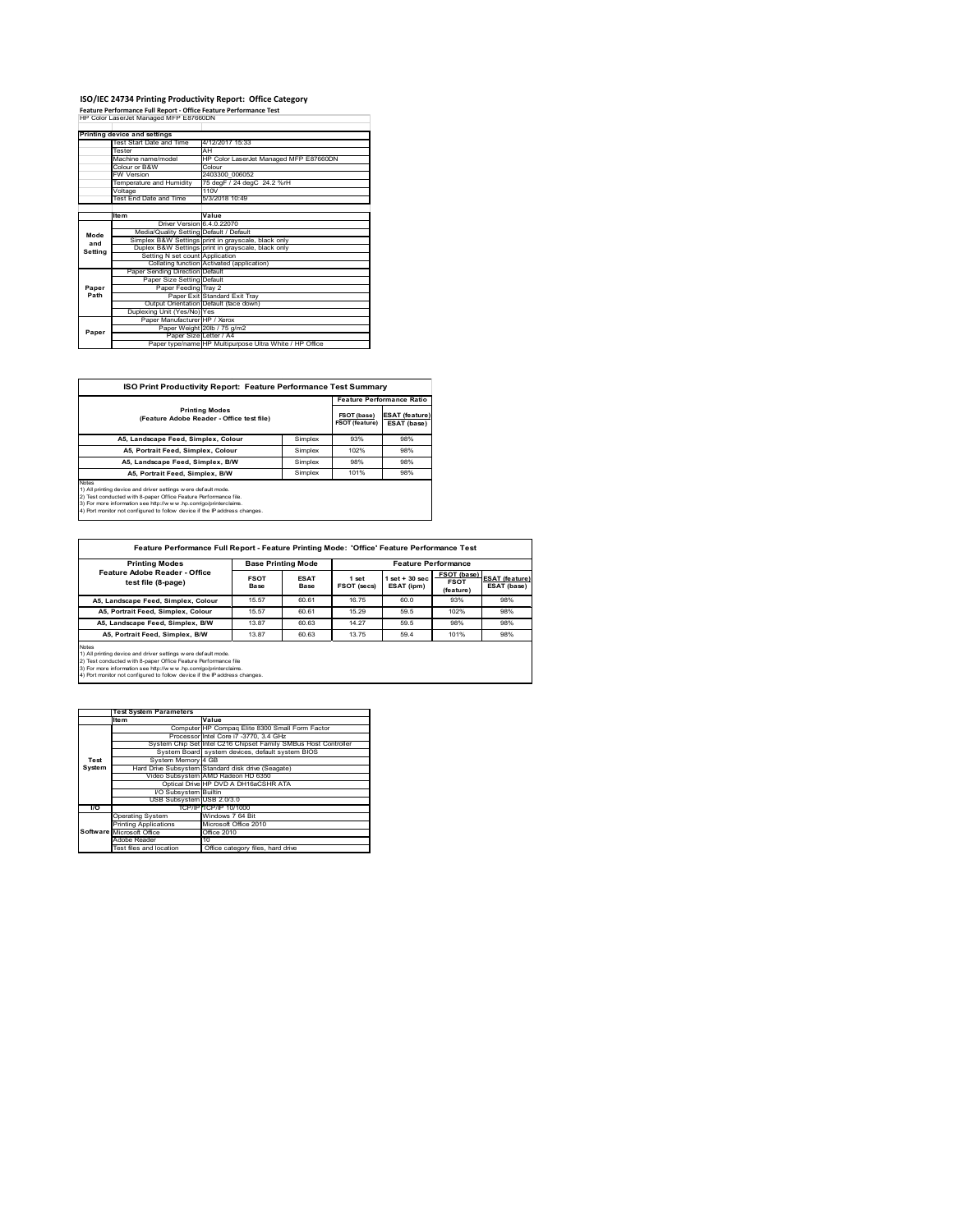## **ISO/IEC 24734 Printing Productivity Report: Office Category Feature Performance Full Report ‐ Office Feature Performance Test** HP Color LaserJet Managed MFP E87660DN

|         | Printing device and settings            |                                                         |  |  |
|---------|-----------------------------------------|---------------------------------------------------------|--|--|
|         | Test Start Date and Time                | 4/12/2017 15:33                                         |  |  |
|         | Tester                                  | AH                                                      |  |  |
|         | Machine name/model                      | HP Color LaserJet Managed MFP E87660DN                  |  |  |
|         | Colour or B&W                           | Colour                                                  |  |  |
|         | <b>FW Version</b>                       | 2403300 006052                                          |  |  |
|         | Temperature and Humidity                | 75 degF / 24 degC 24.2 %rH                              |  |  |
|         | Voltage                                 | 110V                                                    |  |  |
|         | <b>Test End Date and Time</b>           | 5/3/2018 10:49                                          |  |  |
|         |                                         |                                                         |  |  |
|         | <b>Item</b>                             | Value                                                   |  |  |
|         | Driver Version 6.4.0.22070              |                                                         |  |  |
| Mode    | Media/Quality Setting Default / Default |                                                         |  |  |
| and     |                                         | Simplex B&W Settings print in grayscale, black only     |  |  |
| Settina |                                         | Duplex B&W Settings print in grayscale, black only      |  |  |
|         | Setting N set count Application         |                                                         |  |  |
|         |                                         | Collating function Activated (application)              |  |  |
|         | Paper Sending Direction Default         |                                                         |  |  |
|         | Paper Size Setting Default              |                                                         |  |  |
| Paper   | Paper Feeding Tray 2                    |                                                         |  |  |
| Path    |                                         | Paper Exit Standard Exit Tray                           |  |  |
|         |                                         | Output Orientation Default (face down)                  |  |  |
|         | Duplexing Unit (Yes/No) Yes             |                                                         |  |  |
|         | Paper Manufacturer HP / Xerox           |                                                         |  |  |
| Paper   |                                         | Paper Weight 20lb / 75 g/m2                             |  |  |
|         | Paper Size Letter / A4                  |                                                         |  |  |
|         |                                         | Paper type/name HP Multipurpose Ultra White / HP Office |  |  |

| ISO Print Productivity Report: Feature Performance Test Summary                                                                                                                                                                                                                                    |                                      |                                      |                                  |  |  |  |
|----------------------------------------------------------------------------------------------------------------------------------------------------------------------------------------------------------------------------------------------------------------------------------------------------|--------------------------------------|--------------------------------------|----------------------------------|--|--|--|
|                                                                                                                                                                                                                                                                                                    |                                      |                                      | <b>Feature Performance Ratio</b> |  |  |  |
| <b>Printing Modes</b><br>(Feature Adobe Reader - Office test file)                                                                                                                                                                                                                                 | FSOT (base)<br><b>FSOT (feature)</b> | <b>ESAT (feature)</b><br>ESAT (base) |                                  |  |  |  |
| A5. Landscape Feed, Simplex, Colour                                                                                                                                                                                                                                                                | Simplex                              | 93%                                  | 98%                              |  |  |  |
| A5. Portrait Feed. Simplex. Colour                                                                                                                                                                                                                                                                 | Simplex                              | 102%                                 | 98%                              |  |  |  |
| A5, Landscape Feed, Simplex, B/W                                                                                                                                                                                                                                                                   | Simplex                              | 98%                                  | 98%                              |  |  |  |
| A5, Portrait Feed, Simplex, B/W                                                                                                                                                                                                                                                                    | Simplex                              | 101%                                 | 98%                              |  |  |  |
| <b>Notes</b><br>1) All printing device and driver settings w ere default mode.<br>2) Test conducted with 8-paper Office Feature Performance file.<br>3) For more information see http://www.hp.com/go/printerclaims.<br>4) Port monitor not configured to follow device if the IP address changes. |                                      |                                      |                                  |  |  |  |

| <b>Printing Modes</b>                                                                                                                                                                                                                                                                           | <b>Base Printing Mode</b> |                     | <b>Feature Performance</b> |                                 |                                         |                                      |
|-------------------------------------------------------------------------------------------------------------------------------------------------------------------------------------------------------------------------------------------------------------------------------------------------|---------------------------|---------------------|----------------------------|---------------------------------|-----------------------------------------|--------------------------------------|
| Feature Adobe Reader - Office<br>test file (8-page)                                                                                                                                                                                                                                             | <b>FSOT</b><br>Base       | <b>ESAT</b><br>Base | 1 set<br>FSOT (secs)       | $1$ set $+30$ sec<br>ESAT (ipm) | FSOT (base)<br><b>FSOT</b><br>(feature) | <b>ESAT (feature)</b><br>ESAT (base) |
| A5. Landscape Feed, Simplex, Colour                                                                                                                                                                                                                                                             | 15.57                     | 60.61               | 16.75                      | 60.0                            | 93%                                     | 98%                                  |
| A5. Portrait Feed. Simplex, Colour                                                                                                                                                                                                                                                              | 15.57                     | 60.61               | 15.29                      | 59.5                            | 102%                                    | 98%                                  |
| A5. Landscape Feed. Simplex, B/W                                                                                                                                                                                                                                                                | 13.87                     | 60.63               | 14.27                      | 59.5                            | 98%                                     | 98%                                  |
| A5. Portrait Feed. Simplex. B/W                                                                                                                                                                                                                                                                 | 13.87                     | 60.63               | 13.75                      | 59.4                            | 101%                                    | 98%                                  |
| <b>Notes</b><br>1) All printing device and driver settings w ere default mode.<br>2) Test conducted with 8-paper Office Feature Performance file<br>3) For more information see http://www.hp.com/go/printerclaims.<br>4) Dest menitor not configured to follow doube if the ID address abangon |                           |                     |                            |                                 |                                         |                                      |

Ť.

4) Port monitor not configured to follow device if the IP address

|               | <b>Test System Parameters</b> |                                                                 |
|---------------|-------------------------------|-----------------------------------------------------------------|
|               | Ite <sub>m</sub>              | Value                                                           |
|               |                               | Computer HP Compag Elite 8300 Small Form Factor                 |
|               |                               | Processor Intel Core i7 -3770, 3.4 GHz                          |
|               |                               | System Chip Set Intel C216 Chipset Family SMBus Host Controller |
|               |                               | System Board system devices, default system BIOS                |
| Test          | System Memory 4 GB            |                                                                 |
| <b>System</b> |                               | Hard Drive Subsystem Standard disk drive (Seagate)              |
|               |                               | Video Subsystem AMD Radeon HD 6350                              |
|               |                               | Optical Drive HP DVD A DH16aCSHR ATA                            |
|               | I/O Subsystem Builtin         |                                                                 |
|               | USB Subsystem USB 2.0/3.0     |                                                                 |
| I/O           |                               | TCP/IP TCP/IP 10/1000                                           |
|               | <b>Operating System</b>       | Windows 7 64 Bit                                                |
|               | <b>Printing Applications</b>  | Microsoft Office 2010                                           |
|               | Software Microsoft Office     | Office 2010                                                     |
|               | Adobe Reader                  | 10                                                              |
|               | Test files and location       | Office category files, hard drive                               |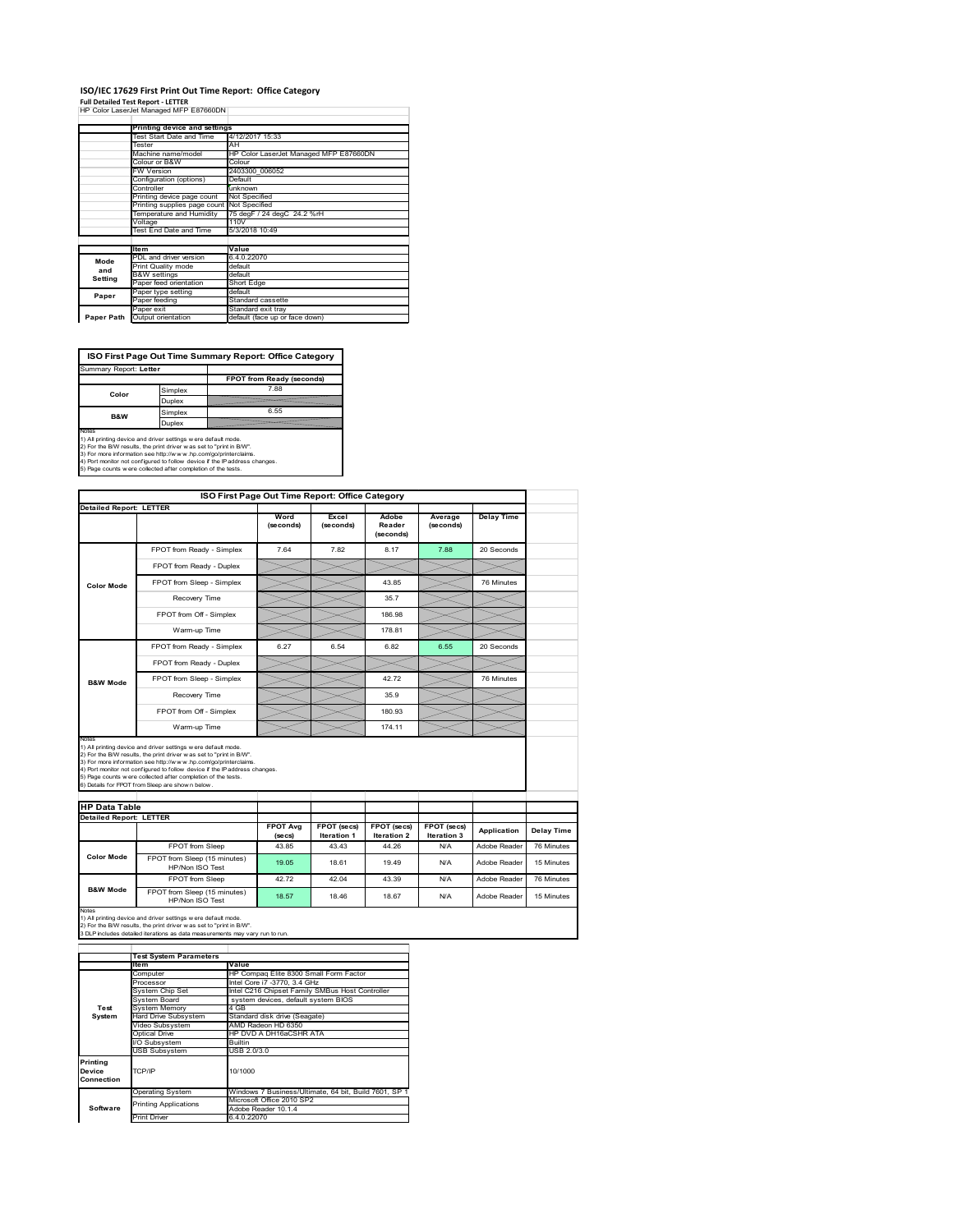### **ISO/IEC 17629 First Print Out Time Report: Office Category Full Detailed Test Report ‐ LETTER** HP Color LaserJet Managed MFP E87660DN

|            | Printing device and settings  |                                        |  |  |  |
|------------|-------------------------------|----------------------------------------|--|--|--|
|            | Test Start Date and Time      | 4/12/2017 15:33                        |  |  |  |
|            | Tester                        | AH                                     |  |  |  |
|            | Machine name/model            | HP Color LaserJet Managed MFP E87660DN |  |  |  |
|            | Colour or B&W                 | Colour                                 |  |  |  |
|            | FW Version                    | 2403300 006052                         |  |  |  |
|            | Configuration (options)       | Default                                |  |  |  |
|            | Controller                    | unknown                                |  |  |  |
|            | Printing device page count    | Not Specified                          |  |  |  |
|            | Printing supplies page count  | Not Specified                          |  |  |  |
|            | Temperature and Humidity      | 75 degF / 24 degC 24.2 %rH             |  |  |  |
|            | Voltage                       | 110V                                   |  |  |  |
|            | <b>Test End Date and Time</b> | 5/3/2018 10:49                         |  |  |  |
|            |                               |                                        |  |  |  |
|            | <b>Item</b>                   | Value                                  |  |  |  |
| Mode       | PDL and driver version        | 6.4.0.22070                            |  |  |  |
| and        | Print Quality mode            | default                                |  |  |  |
| Setting    | <b>B&amp;W</b> settings       | default                                |  |  |  |
|            | Paper feed orientation        | <b>Short Edge</b>                      |  |  |  |
| Paper      | Paper type setting            | default                                |  |  |  |
|            | Paper feeding                 | Standard cassette                      |  |  |  |
|            | Paper exit                    | Standard exit tray                     |  |  |  |
| Paper Path | Output orientation            | default (face up or face down)         |  |  |  |

**ISO First Page Out Time Summary Report: Office Category**

| Summary Report: Letter |         |                           |
|------------------------|---------|---------------------------|
|                        |         | FPOT from Ready (seconds) |
| Color                  | Simplex | 7.88                      |
|                        | Duplex  |                           |
| <b>B&amp;W</b>         | Simplex | 6.55                      |
|                        | Duplex  |                           |
| Notes                  |         |                           |

Notes<br>1) All printing device and driver settings were default mode.<br>2) For the BW results, the print driver was set to "print in BW".<br>3) For more information see http://www.hp.com/golprinterclaims.<br>4) Port montor not confi

|                                |                                                                                                                                                                                                                                                                                                                                                                                                             | ISO First Page Out Time Report: Office Category |                                   |                                          |                            |                   |            |
|--------------------------------|-------------------------------------------------------------------------------------------------------------------------------------------------------------------------------------------------------------------------------------------------------------------------------------------------------------------------------------------------------------------------------------------------------------|-------------------------------------------------|-----------------------------------|------------------------------------------|----------------------------|-------------------|------------|
| <b>Detailed Report: LETTER</b> |                                                                                                                                                                                                                                                                                                                                                                                                             | Word<br>(seconds)                               | Excel<br>(seconds)                | Adobe<br>Reader<br>(seconds)             | Average<br>(seconds)       | <b>Delay Time</b> |            |
|                                | FPOT from Ready - Simplex                                                                                                                                                                                                                                                                                                                                                                                   | 7.64                                            | 7.82                              | 8.17                                     | 7.88                       | 20 Seconds        |            |
|                                | FPOT from Ready - Duplex                                                                                                                                                                                                                                                                                                                                                                                    |                                                 |                                   |                                          |                            |                   |            |
| <b>Color Mode</b>              | FPOT from Sleep - Simplex                                                                                                                                                                                                                                                                                                                                                                                   |                                                 |                                   | 43.85                                    |                            | 76 Minutes        |            |
|                                | Recovery Time                                                                                                                                                                                                                                                                                                                                                                                               |                                                 |                                   | 35.7                                     |                            |                   |            |
|                                | FPOT from Off - Simplex                                                                                                                                                                                                                                                                                                                                                                                     |                                                 |                                   | 186.98                                   |                            |                   |            |
|                                | Warm-up Time                                                                                                                                                                                                                                                                                                                                                                                                |                                                 |                                   | 178.81                                   |                            |                   |            |
|                                | FPOT from Ready - Simplex                                                                                                                                                                                                                                                                                                                                                                                   | 6.27                                            | 6.54                              | 6.82                                     | 6.55                       | 20 Seconds        |            |
|                                | FPOT from Ready - Duplex                                                                                                                                                                                                                                                                                                                                                                                    |                                                 |                                   |                                          |                            |                   |            |
| <b>B&amp;W Mode</b>            | FPOT from Sleep - Simplex                                                                                                                                                                                                                                                                                                                                                                                   |                                                 |                                   | 4272                                     |                            | 76 Minutes        |            |
|                                |                                                                                                                                                                                                                                                                                                                                                                                                             |                                                 |                                   | 35.9                                     |                            |                   |            |
|                                | Recovery Time                                                                                                                                                                                                                                                                                                                                                                                               |                                                 |                                   |                                          |                            |                   |            |
|                                | FPOT from Off - Simplex                                                                                                                                                                                                                                                                                                                                                                                     |                                                 |                                   | 180.93                                   |                            |                   |            |
| Notes                          | Warm-up Time                                                                                                                                                                                                                                                                                                                                                                                                |                                                 |                                   | 174.11                                   |                            |                   |            |
| <b>HP Data Table</b>           | 1) All printing device and driver settings w ere default mode.<br>2) For the B/W results, the print driver was set to "print in B/W".<br>3) For more information see http://www.hp.com/go/printerclaims.<br>4) Port monitor not configured to follow device if the IP address changes.<br>5) Page counts w ere collected after completion of the tests.<br>6) Details for FPOT from Sleep are show n below. |                                                 |                                   |                                          |                            |                   |            |
| <b>Detailed Report: LETTER</b> |                                                                                                                                                                                                                                                                                                                                                                                                             |                                                 |                                   |                                          |                            |                   |            |
|                                |                                                                                                                                                                                                                                                                                                                                                                                                             | <b>FPOT Avg</b><br>(se cs)                      | FPOT (secs)<br><b>Iteration 1</b> | <b>FPOT</b> (secs)<br><b>Iteration 2</b> | FPOT (secs)<br>Iteration 3 | Application       | Delay Time |
|                                | FPOT from Sleep                                                                                                                                                                                                                                                                                                                                                                                             | 43.85                                           | 43 43                             | 44 26                                    | N/A                        | Adobe Reader      | 76 Minutes |
| <b>Color Mode</b>              | FPOT from Sleep (15 minutes)<br>HP/Non ISO Test                                                                                                                                                                                                                                                                                                                                                             | 19.05                                           | 18.61                             | 19 49                                    | N/A                        | Adobe Reader      | 15 Minutes |
| <b>B&amp;W Mode</b>            | FPOT from Sleep                                                                                                                                                                                                                                                                                                                                                                                             | 42.72                                           | 42.04                             | 43.39                                    | N/A                        | Adobe Reader      | 76 Minutes |

Notes<br>1) All printing device and driver settings w ere default mode.<br>2) For the B/W results, the print driver w as set to "print in B/W".<br>3 DLP includes detailed iterations as data measurements may vary run to run.

|                                                       | <b>Test System Parameters</b> |                                                       |  |  |  |
|-------------------------------------------------------|-------------------------------|-------------------------------------------------------|--|--|--|
|                                                       | <b>Item</b>                   | Value                                                 |  |  |  |
|                                                       | Computer                      | HP Compag Elite 8300 Small Form Factor                |  |  |  |
|                                                       | Processor                     | Intel Core i7 -3770, 3.4 GHz                          |  |  |  |
|                                                       | System Chip Set               | Intel C216 Chipset Family SMBus Host Controller       |  |  |  |
|                                                       | System Board                  | system devices, default system BIOS                   |  |  |  |
| Test                                                  | <b>System Memory</b>          | 4 GB                                                  |  |  |  |
| System                                                | <b>Hard Drive Subsystem</b>   | Standard disk drive (Seagate)                         |  |  |  |
|                                                       | Video Subsystem               | AMD Radeon HD 6350                                    |  |  |  |
|                                                       | Optical Drive                 | HP DVD A DH16aCSHR ATA                                |  |  |  |
|                                                       | I/O Subsystem                 | <b>Builtin</b>                                        |  |  |  |
|                                                       | <b>USB Subsystem</b>          | USB 2.0/3.0                                           |  |  |  |
| Printing<br>TCP/IP<br>10/1000<br>Device<br>Connection |                               |                                                       |  |  |  |
|                                                       | <b>Operating System</b>       | Windows 7 Business/Ultimate, 64 bit, Build 7601, SP 1 |  |  |  |
|                                                       | <b>Printing Applications</b>  | Microsoft Office 2010 SP2                             |  |  |  |
| Software                                              |                               | Adobe Reader 10.1.4                                   |  |  |  |
|                                                       | Print Driver                  | 6.4.0.22070                                           |  |  |  |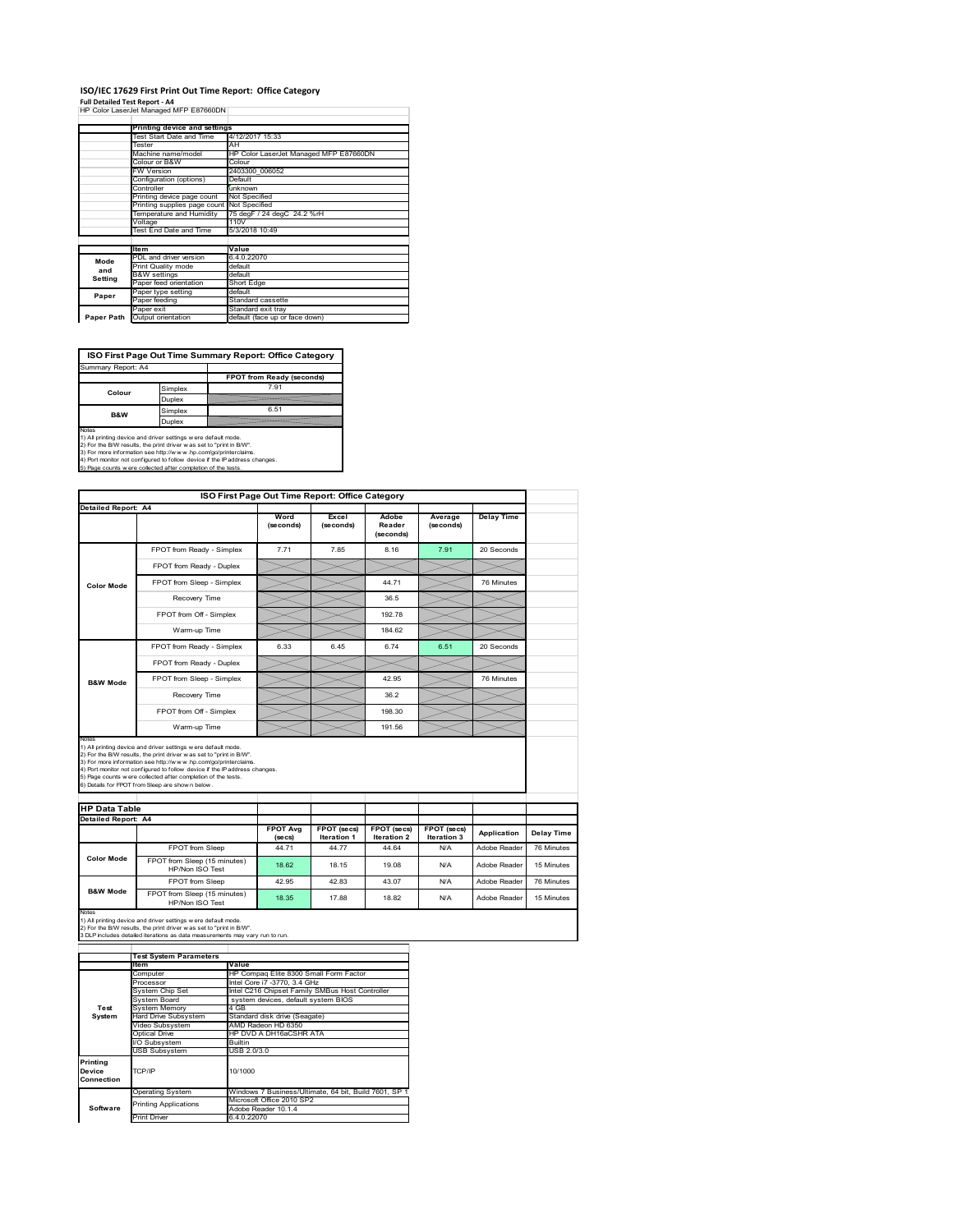## **ISO/IEC 17629 First Print Out Time Report: Office Category**

**Full Detailed Test Report ‐ A4** HP Color LaserJet Managed MFP E87660DN

|            | Printing device and settings               |                                        |  |  |  |
|------------|--------------------------------------------|----------------------------------------|--|--|--|
|            | Test Start Date and Time                   | 4/12/2017 15:33                        |  |  |  |
|            | Tester                                     | AH                                     |  |  |  |
|            | Machine name/model                         | HP Color LaserJet Managed MFP E87660DN |  |  |  |
|            | Colour or B&W                              | Colour                                 |  |  |  |
|            | FW Version                                 | 2403300 006052                         |  |  |  |
|            | Configuration (options)                    | Default                                |  |  |  |
|            | Controller                                 | unknown                                |  |  |  |
|            | Printing device page count                 | Not Specified                          |  |  |  |
|            | Printing supplies page count Not Specified |                                        |  |  |  |
|            | Temperature and Humidity                   | 75 degF / 24 degC 24.2 %rH             |  |  |  |
|            | Voltage                                    | 110V                                   |  |  |  |
|            | Test End Date and Time                     | 5/3/2018 10:49                         |  |  |  |
|            |                                            |                                        |  |  |  |
|            | <b>Item</b>                                | Value                                  |  |  |  |
| Mode       | PDL and driver version                     | 6.4.0.22070                            |  |  |  |
|            | Print Quality mode                         | default                                |  |  |  |
| and        | <b>B&amp;W</b> settings                    | default                                |  |  |  |
| Setting    | Paper feed orientation                     | Short Edge                             |  |  |  |
|            | Paper type setting                         | default                                |  |  |  |
| Paper      | Paper feeding                              | Standard cassette                      |  |  |  |
|            | Paper exit                                 | Standard exit tray                     |  |  |  |
| Paper Path | Output orientation                         | default (face up or face down)         |  |  |  |

٦

**ISO First Page Out Time Summary Report: Office Category**

| Summary Report: A4 |         |                           |
|--------------------|---------|---------------------------|
|                    |         | FPOT from Ready (seconds) |
| Colour             | Simplex | 7.91                      |
|                    | Duplex  |                           |
| <b>B&amp;W</b>     | Simplex | 6.51                      |
|                    | Duplex  |                           |
|                    |         |                           |

Notes<br>1) All printing device and driver settings were default mode.<br>2) For the BAV results, the print driver was set to "print in BAV".<br>3) For more information see http://www.hp.com/golprinterclaims.<br>4) Port monitor not co

|                                                             |                                                                                                                                                                                                                                                                                                                                                                                                             |                            | ISO First Page Out Time Report: Office Category |                                   |                            |                   |                                        |
|-------------------------------------------------------------|-------------------------------------------------------------------------------------------------------------------------------------------------------------------------------------------------------------------------------------------------------------------------------------------------------------------------------------------------------------------------------------------------------------|----------------------------|-------------------------------------------------|-----------------------------------|----------------------------|-------------------|----------------------------------------|
| Detailed Report: A4                                         |                                                                                                                                                                                                                                                                                                                                                                                                             | Word<br>(seconds)          | Excel<br>(seconds)                              | Adobe<br>Reader<br>(seconds)      | Average<br>(seconds)       | <b>Delay Time</b> |                                        |
|                                                             | FPOT from Ready - Simplex                                                                                                                                                                                                                                                                                                                                                                                   | 7.71                       | 7.85                                            | 8.16                              | 7.91                       | 20 Seconds        |                                        |
|                                                             | FPOT from Ready - Duplex                                                                                                                                                                                                                                                                                                                                                                                    |                            |                                                 |                                   |                            |                   |                                        |
| <b>Color Mode</b>                                           | FPOT from Sleep - Simplex                                                                                                                                                                                                                                                                                                                                                                                   |                            |                                                 | 44.71                             |                            | 76 Minutes        |                                        |
|                                                             | Recovery Time                                                                                                                                                                                                                                                                                                                                                                                               |                            |                                                 | 36.5                              |                            |                   |                                        |
|                                                             | FPOT from Off - Simplex                                                                                                                                                                                                                                                                                                                                                                                     |                            |                                                 | 192.78                            |                            |                   |                                        |
|                                                             | Warm-up Time                                                                                                                                                                                                                                                                                                                                                                                                |                            |                                                 | 184.62                            |                            |                   |                                        |
|                                                             | FPOT from Ready - Simplex                                                                                                                                                                                                                                                                                                                                                                                   | 6.33                       | 6.45                                            | 6.74                              | 6.51                       | 20 Seconds        |                                        |
|                                                             | FPOT from Ready - Duplex                                                                                                                                                                                                                                                                                                                                                                                    |                            |                                                 |                                   |                            |                   |                                        |
| <b>B&amp;W Mode</b>                                         | FPOT from Sleep - Simplex                                                                                                                                                                                                                                                                                                                                                                                   |                            |                                                 | 42.95                             |                            | 76 Minutes        |                                        |
|                                                             | Recovery Time                                                                                                                                                                                                                                                                                                                                                                                               |                            |                                                 | 36.2                              |                            |                   |                                        |
|                                                             |                                                                                                                                                                                                                                                                                                                                                                                                             |                            |                                                 |                                   |                            |                   |                                        |
|                                                             | FPOT from Off - Simplex                                                                                                                                                                                                                                                                                                                                                                                     |                            |                                                 | 198.30                            |                            |                   |                                        |
|                                                             | Warm-up Time                                                                                                                                                                                                                                                                                                                                                                                                |                            |                                                 | 191.56                            |                            |                   |                                        |
| Notes<br><b>HP Data Table</b><br><b>Detailed Report: A4</b> | 1) All printing device and driver settings w ere default mode.<br>2) For the B/W results, the print driver was set to "print in B/W".<br>3) For more information see http://www.hp.com/go/printerclaims.<br>4) Port monitor not configured to follow device if the IP address changes.<br>5) Page counts w ere collected after completion of the tests.<br>6) Details for FPOT from Sleep are show n below. |                            |                                                 |                                   |                            |                   |                                        |
|                                                             |                                                                                                                                                                                                                                                                                                                                                                                                             | <b>FPOT Ava</b><br>(se cs) | FPOT (secs)<br><b>Iteration 1</b>               | FPOT (secs)<br><b>Iteration 2</b> | FPOT (secs)<br>Iteration 3 | Application       |                                        |
| <b>Color Mode</b>                                           | FPOT from Sleep                                                                                                                                                                                                                                                                                                                                                                                             | 44 71                      | 44.77                                           | 44.64                             | N/A                        | Adobe Reader      |                                        |
|                                                             | FPOT from Sleep (15 minutes)<br>HP/Non ISO Test                                                                                                                                                                                                                                                                                                                                                             | 18.62                      | 18.15                                           | 19.08                             | N/A                        | Adobe Reader      | Delay Time<br>76 Minutes<br>15 Minutes |
| <b>B&amp;W Mode</b>                                         | FPOT from Sleep                                                                                                                                                                                                                                                                                                                                                                                             | 42.95                      | 42.83                                           | 43.07                             | N/A                        | Adobe Reader      | 76 Minutes                             |

|                                  | <b>Test System Parameters</b> |                                                       |  |  |
|----------------------------------|-------------------------------|-------------------------------------------------------|--|--|
|                                  | Item                          | Value                                                 |  |  |
|                                  | Computer                      | HP Compag Elite 8300 Small Form Factor                |  |  |
|                                  | Processor                     | Intel Core i7 -3770, 3.4 GHz                          |  |  |
|                                  | System Chip Set               | Intel C216 Chipset Family SMBus Host Controller       |  |  |
|                                  | System Board                  | system devices, default system BIOS                   |  |  |
| Test                             | <b>System Memory</b>          | 4 GB                                                  |  |  |
| System                           | <b>Hard Drive Subsystem</b>   | Standard disk drive (Seagate)                         |  |  |
|                                  | Video Subsystem               | AMD Radeon HD 6350                                    |  |  |
|                                  | Optical Drive                 | HP DVD A DH16aCSHR ATA                                |  |  |
|                                  | I/O Subsystem                 | <b>Builtin</b>                                        |  |  |
|                                  | <b>USB Subsystem</b>          | USB 2.0/3.0                                           |  |  |
| Printing<br>Device<br>Connection | TCP/IP                        | 10/1000                                               |  |  |
|                                  | <b>Operating System</b>       | Windows 7 Business/Ultimate, 64 bit, Build 7601, SP 1 |  |  |
|                                  | <b>Printing Applications</b>  | Microsoft Office 2010 SP2                             |  |  |
| Software                         |                               | Adobe Reader 10.1.4                                   |  |  |
|                                  | Print Driver                  | 6.4.0.22070                                           |  |  |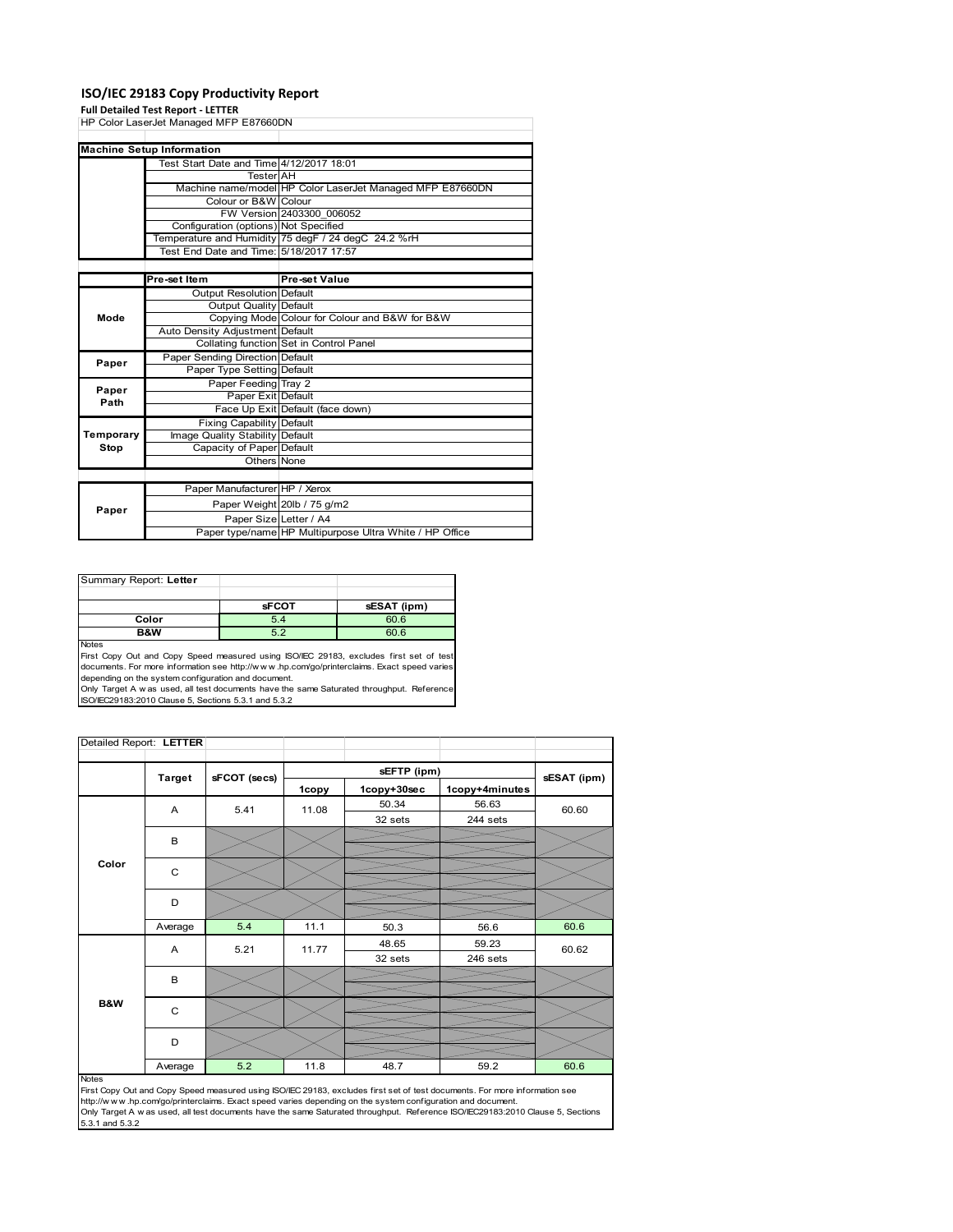### **ISO/IEC 29183 Copy Productivity Report**

### **Full Detailed Test Report ‐ LETTER**

|               | HP Color LaserJet Managed MFP E87660DN   |                                                           |
|---------------|------------------------------------------|-----------------------------------------------------------|
|               |                                          |                                                           |
|               | <b>Machine Setup Information</b>         |                                                           |
|               | Test Start Date and Time 4/12/2017 18:01 |                                                           |
|               | <b>Tester</b> AH                         |                                                           |
|               |                                          | Machine name/model HP Color LaserJet Managed MFP E87660DN |
|               | Colour or B&W Colour                     |                                                           |
|               |                                          | FW Version 2403300 006052                                 |
|               | Configuration (options) Not Specified    |                                                           |
|               |                                          | Temperature and Humidity 75 degF / 24 degC 24.2 %rH       |
|               | Test End Date and Time: 5/18/2017 17:57  |                                                           |
|               |                                          |                                                           |
|               | Pre-set Item                             | Pre-set Value                                             |
|               | <b>Output Resolution Default</b>         |                                                           |
| Mode          | Output Quality Default                   |                                                           |
|               |                                          | Copying Mode Colour for Colour and B&W for B&W            |
|               | Auto Density Adjustment Default          |                                                           |
|               |                                          | Collating function Set in Control Panel                   |
| Paper         | Paper Sending Direction Default          |                                                           |
|               | Paper Type Setting Default               |                                                           |
|               | Paper Feeding Tray 2                     |                                                           |
| Paper<br>Path | Paper Exit Default                       |                                                           |
|               |                                          | Face Up Exit Default (face down)                          |
|               | <b>Fixing Capability Default</b>         |                                                           |
| Temporary     | Image Quality Stability Default          |                                                           |
| Stop          | Capacity of Paper Default                |                                                           |
|               | Others None                              |                                                           |
|               |                                          |                                                           |
|               | Paper Manufacturer HP / Xerox            |                                                           |
|               |                                          | Paper Weight 20lb / 75 g/m2                               |
| Paper         | Paper Size Letter / A4                   |                                                           |
|               |                                          | Paper type/name HP Multipurpose Ultra White / HP Office   |

| Summary Report: Letter |              |             |
|------------------------|--------------|-------------|
|                        |              |             |
|                        | <b>sFCOT</b> | sESAT (ipm) |
| Color                  | 5.4          | 60.6        |
| B&W                    | 5.2          | 60.6        |
| .                      |              |             |

Notes<br>First Copy Out and Copy Speed measured using ISO/IEC 29183, excludes first set of test<br>documents. For more information see http://www..hp.com/go/printerclaims. Exact speed varies

depending on the system configuration and document.<br>Only Target A w as used, all test documents have the same Saturated throughput. Reference<br>ISO/IEC29183:2010 Clause 5, Sections 5.3.1 and 5.3.2

| Detailed Report: LETTER |               |              |       |             |                |             |
|-------------------------|---------------|--------------|-------|-------------|----------------|-------------|
|                         |               |              |       | sEFTP (ipm) |                |             |
|                         | <b>Target</b> | sFCOT (secs) | 1copy | 1copy+30sec | 1copy+4minutes | sESAT (ipm) |
|                         | A             | 5.41         | 11.08 | 50.34       | 56.63          | 60.60       |
|                         |               |              |       | 32 sets     | 244 sets       |             |
|                         | В             |              |       |             |                |             |
|                         |               |              |       |             |                |             |
| Color                   | C             |              |       |             |                |             |
|                         |               |              |       |             |                |             |
|                         | D             |              |       |             |                |             |
|                         | Average       | 5.4          | 11.1  | 50.3        | 56.6           | 60.6        |
|                         | Α             | 5.21         | 11.77 | 48.65       | 59.23          | 60.62       |
|                         |               |              |       | 32 sets     | 246 sets       |             |
|                         | B             |              |       |             |                |             |
|                         |               |              |       |             |                |             |
| B&W                     | $\mathbf C$   |              |       |             |                |             |
|                         |               |              |       |             |                |             |
|                         | D             |              |       |             |                |             |
|                         | Average       | 5.2          | 11.8  | 48.7        | 59.2           | 60.6        |

#### Notes

First Copy Out and Copy Speed measured using ISO/IEC 29183, excludes first set of test documents. For more information see<br>http://w w w.hp.com/go/printerclaims. Exact speed varies depending on the system configuration and 5.3.1 and 5.3.2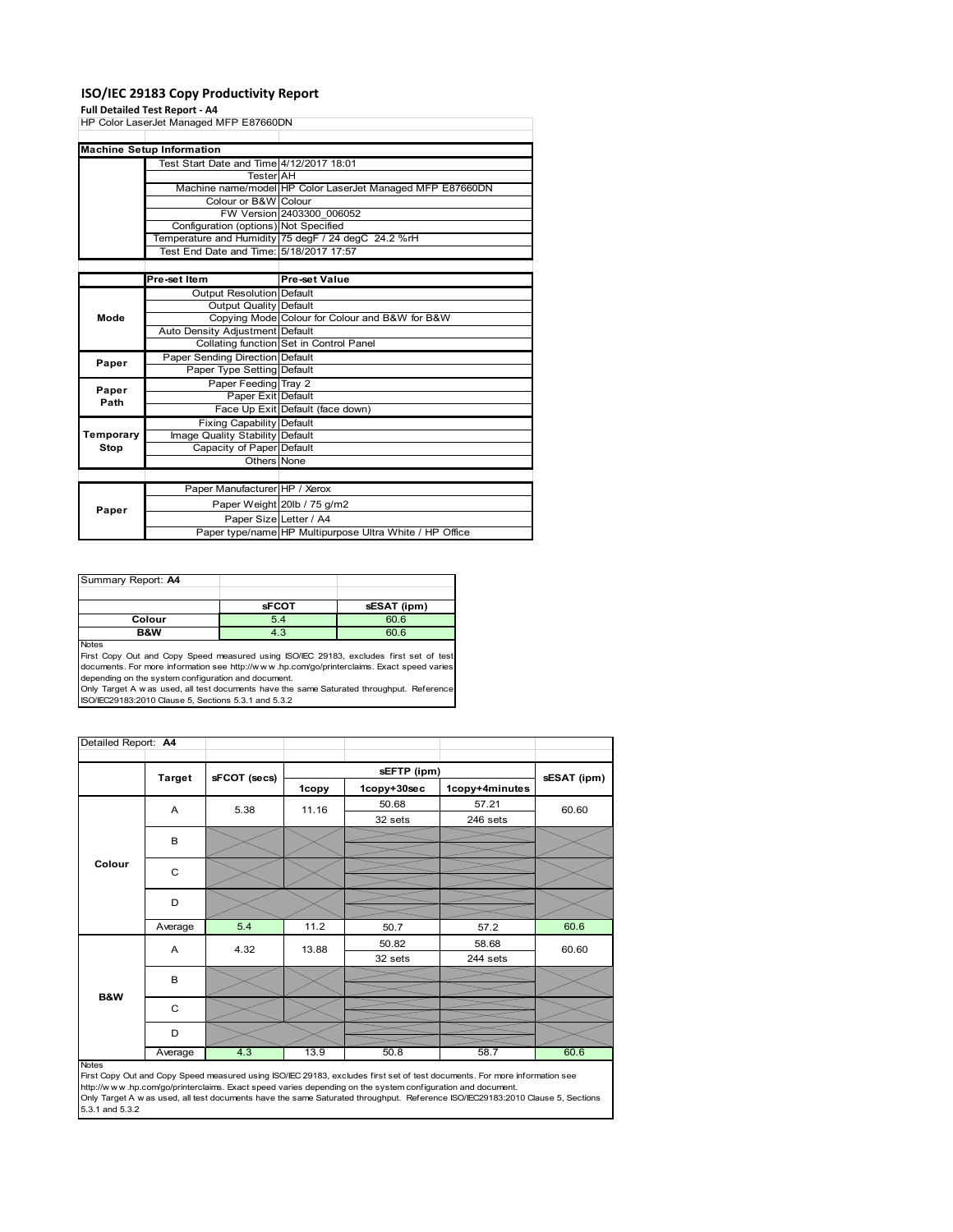### **ISO/IEC 29183 Copy Productivity Report**

### **Full Detailed Test Report ‐ A4**

|           | HP Color LaserJet Managed MFP E87660DN   |                                                           |  |
|-----------|------------------------------------------|-----------------------------------------------------------|--|
|           |                                          |                                                           |  |
|           | <b>Machine Setup Information</b>         |                                                           |  |
|           | Test Start Date and Time 4/12/2017 18:01 |                                                           |  |
|           | <b>Tester</b> AH                         |                                                           |  |
|           |                                          | Machine name/model HP Color LaserJet Managed MFP E87660DN |  |
|           | Colour or B&W Colour                     |                                                           |  |
|           |                                          | FW Version 2403300 006052                                 |  |
|           | Configuration (options) Not Specified    |                                                           |  |
|           |                                          | Temperature and Humidity 75 degF / 24 degC 24.2 %rH       |  |
|           | Test End Date and Time: 5/18/2017 17:57  |                                                           |  |
|           |                                          |                                                           |  |
|           | Pre-set Item                             | Pre-set Value                                             |  |
|           | Output Resolution Default                |                                                           |  |
|           | Output Quality Default                   |                                                           |  |
| Mode      |                                          | Copying Mode Colour for Colour and B&W for B&W            |  |
|           | Auto Density Adjustment Default          |                                                           |  |
|           |                                          | Collating function Set in Control Panel                   |  |
| Paper     | Paper Sending Direction Default          |                                                           |  |
|           | Paper Type Setting Default               |                                                           |  |
| Paper     | Paper Feeding Tray 2                     |                                                           |  |
| Path      | Paper Exit Default                       |                                                           |  |
|           |                                          | Face Up Exit Default (face down)                          |  |
|           | <b>Fixing Capability Default</b>         |                                                           |  |
| Temporary | Image Quality Stability Default          |                                                           |  |
| Stop      | Capacity of Paper Default                |                                                           |  |
|           | Others None                              |                                                           |  |
|           |                                          |                                                           |  |
|           | Paper Manufacturer HP / Xerox            |                                                           |  |
|           |                                          | Paper Weight 20lb / 75 g/m2                               |  |
| Paper     | Paper Size Letter / A4                   |                                                           |  |
|           |                                          | Paper type/name HP Multipurpose Ultra White / HP Office   |  |

| Summary Report: A4 |              |             |
|--------------------|--------------|-------------|
|                    |              |             |
|                    | <b>sFCOT</b> | sESAT (ipm) |
| Colour             | 5.4          | 60.6        |
| B&W                | 4.3          | 60.6        |
| <b>Nickon</b>      |              |             |

Notes<br>First Copy Out and Copy Speed measured using ISO/IEC 29183, excludes first set of test<br>documents. For more information see http://www..hp.com/go/printerclaims. Exact speed varies

depending on the system configuration and document.<br>Only Target A w as used, all test documents have the same Saturated throughput. Reference<br>ISO/IEC29183:2010 Clause 5, Sections 5.3.1 and 5.3.2

| Detailed Report: A4 |               |              |       |             |                |             |  |
|---------------------|---------------|--------------|-------|-------------|----------------|-------------|--|
|                     |               |              |       | sEFTP (ipm) |                |             |  |
|                     | <b>Target</b> | sFCOT (secs) | 1copy | 1copy+30sec | 1copy+4minutes | sESAT (ipm) |  |
|                     | A             | 5.38         | 11.16 | 50.68       | 57.21          | 60.60       |  |
|                     |               |              |       | 32 sets     | 246 sets       |             |  |
|                     | B             |              |       |             |                |             |  |
|                     |               |              |       |             |                |             |  |
| Colour              | C             |              |       |             |                |             |  |
|                     |               |              |       |             |                |             |  |
|                     | D             |              |       |             |                |             |  |
|                     |               |              |       |             |                |             |  |
|                     | Average       | 5.4          | 11.2  | 50.7        | 57.2           | 60.6        |  |
|                     | A             | 4.32         | 13.88 | 50.82       | 58.68          | 60.60       |  |
|                     |               |              |       | 32 sets     | 244 sets       |             |  |
|                     | B             |              |       |             |                |             |  |
| B&W                 |               |              |       |             |                |             |  |
|                     | C             |              |       |             |                |             |  |
|                     |               |              |       |             |                |             |  |
|                     | D             |              |       |             |                |             |  |
|                     | Average       | 4.3          | 13.9  | 50.8        | 58.7           | 60.6        |  |

Average 4.3 13.9 50.8 58.7 60.6<br>
First Copy Out and Copy Speed measured using ISO/IEC 29183, excludes first set of test documents. For more information see<br>
First://www.hp.com/go/printerclaims. Exact speed varies depending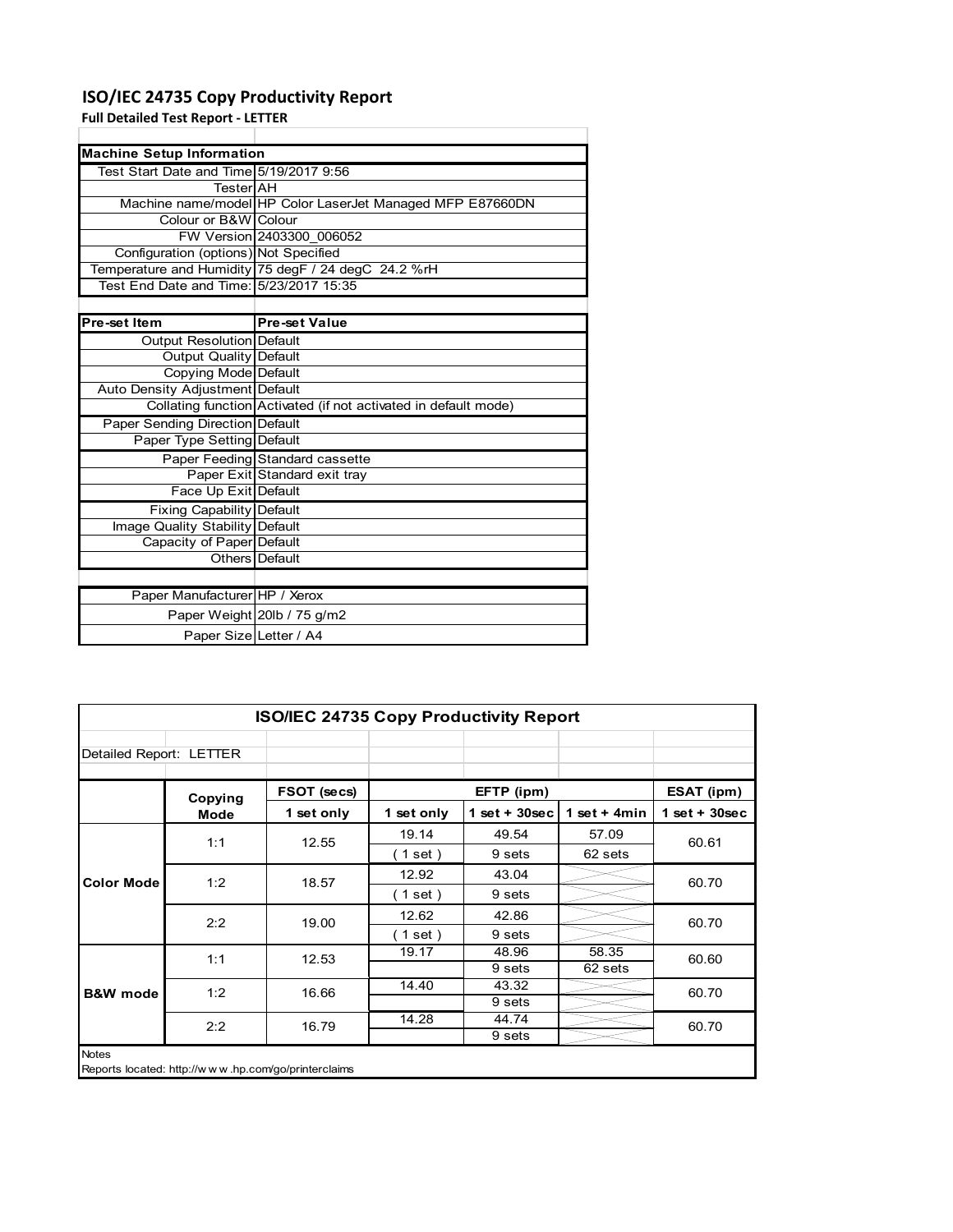### **ISO/IEC 24735 Copy Productivity Report**

**Full Detailed Test Report ‐ LETTER**

 $\mathbf l$ 

| <b>Machine Setup Information</b>        |                                                                 |  |  |  |  |
|-----------------------------------------|-----------------------------------------------------------------|--|--|--|--|
| Test Start Date and Time 5/19/2017 9:56 |                                                                 |  |  |  |  |
| TesterIAH                               |                                                                 |  |  |  |  |
|                                         | Machine name/model HP Color LaserJet Managed MFP E87660DN       |  |  |  |  |
| Colour or B&W Colour                    |                                                                 |  |  |  |  |
|                                         | FW Version 2403300 006052                                       |  |  |  |  |
| Configuration (options) Not Specified   |                                                                 |  |  |  |  |
|                                         | Temperature and Humidity 75 degF / 24 degC 24.2 %rH             |  |  |  |  |
| Test End Date and Time: 5/23/2017 15:35 |                                                                 |  |  |  |  |
|                                         |                                                                 |  |  |  |  |
| Pre-set Item                            | <b>Pre-set Value</b>                                            |  |  |  |  |
| Output Resolution Default               |                                                                 |  |  |  |  |
| <b>Output Quality Default</b>           |                                                                 |  |  |  |  |
| Copying Mode Default                    |                                                                 |  |  |  |  |
| Auto Density Adjustment Default         |                                                                 |  |  |  |  |
|                                         | Collating function Activated (if not activated in default mode) |  |  |  |  |
| <b>Paper Sending Direction Default</b>  |                                                                 |  |  |  |  |
| Paper Type Setting Default              |                                                                 |  |  |  |  |
|                                         | Paper Feeding Standard cassette                                 |  |  |  |  |
|                                         | Paper Exit Standard exit tray                                   |  |  |  |  |
| Face Up Exit Default                    |                                                                 |  |  |  |  |
| Fixing Capability Default               |                                                                 |  |  |  |  |
| Image Quality Stability Default         |                                                                 |  |  |  |  |
| Capacity of Paper Default               |                                                                 |  |  |  |  |
|                                         | Others Default                                                  |  |  |  |  |
|                                         |                                                                 |  |  |  |  |
| Paper Manufacturer HP / Xerox           |                                                                 |  |  |  |  |
|                                         | Paper Weight 20lb / 75 g/m2                                     |  |  |  |  |
| Paper Size Letter / A4                  |                                                                 |  |  |  |  |

| <b>ISO/IEC 24735 Copy Productivity Report</b> |                                                     |             |            |                  |                |                 |
|-----------------------------------------------|-----------------------------------------------------|-------------|------------|------------------|----------------|-----------------|
| Detailed Report: LETTER                       |                                                     |             |            |                  |                |                 |
|                                               | Copying                                             | FSOT (secs) |            | EFTP (ipm)       |                | ESAT (ipm)      |
|                                               | Mode                                                | 1 set only  | 1 set only | $1 set + 30 sec$ | 1 set $+$ 4min | $1$ set + 30sec |
|                                               | 1:1                                                 | 12.55       | 19.14      | 49.54            | 57.09          | 60.61           |
| <b>Color Mode</b>                             |                                                     |             | (1 set)    | 9 sets           | 62 sets        |                 |
|                                               | 1:2                                                 | 18.57       | 12.92      | 43.04            |                | 60.70           |
|                                               |                                                     |             | (1 set)    | 9 sets           |                |                 |
|                                               | 2:2                                                 | 19.00       | 12.62      | 42.86            |                | 60.70           |
|                                               |                                                     |             | (1 set)    | 9 sets           |                |                 |
|                                               | 1:1                                                 | 12.53       | 19.17      | 48.96            | 58.35          | 60.60           |
|                                               |                                                     |             |            | 9 sets           | 62 sets        |                 |
| <b>B&amp;W</b> mode                           | 1:2                                                 | 16.66       | 14.40      | 43.32            |                | 60.70           |
|                                               |                                                     |             |            | 9 sets           |                |                 |
|                                               | 2:2                                                 | 16.79       | 14.28      | 44.74            |                | 60.70           |
|                                               |                                                     |             |            | 9 sets           |                |                 |
| Notes                                         | Reports located: http://www.hp.com/go/printerclaims |             |            |                  |                |                 |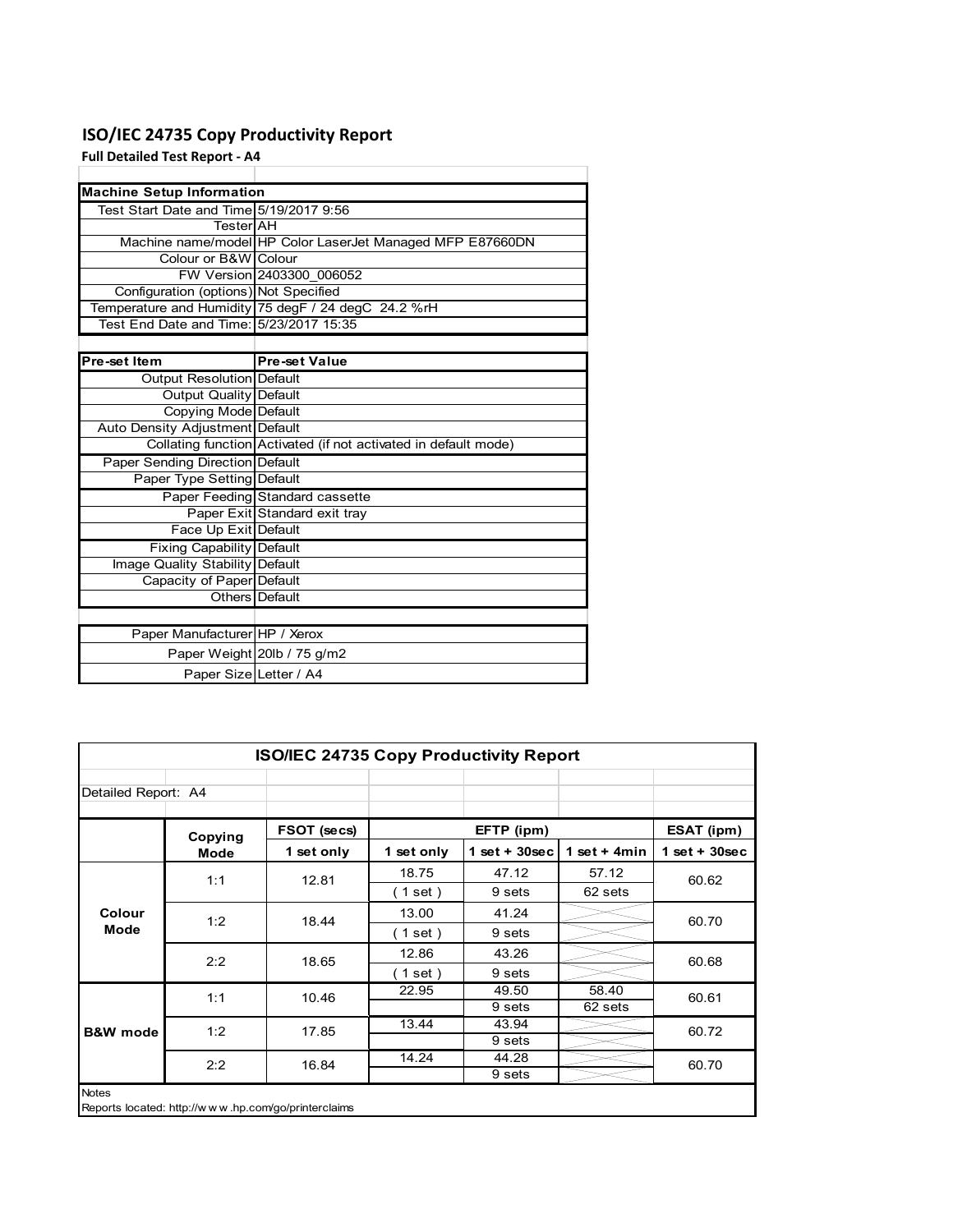## **ISO/IEC 24735 Copy Productivity Report**

**Full Detailed Test Report ‐ A4**

| <b>Machine Setup Information</b>        |                                                                 |
|-----------------------------------------|-----------------------------------------------------------------|
| Test Start Date and Time 5/19/2017 9:56 |                                                                 |
| TesterlAH                               |                                                                 |
|                                         | Machine name/model HP Color LaserJet Managed MFP E87660DN       |
| Colour or B&W Colour                    |                                                                 |
|                                         | FW Version 2403300 006052                                       |
| Configuration (options) Not Specified   |                                                                 |
|                                         | Temperature and Humidity 75 degF / 24 degC 24.2 %rH             |
| Test End Date and Time: 5/23/2017 15:35 |                                                                 |
|                                         |                                                                 |
| Pre-set Item                            | <b>Pre-set Value</b>                                            |
| Output Resolution Default               |                                                                 |
| <b>Output Quality Default</b>           |                                                                 |
| Copying Mode Default                    |                                                                 |
| Auto Density Adjustment Default         |                                                                 |
|                                         | Collating function Activated (if not activated in default mode) |
| <b>Paper Sending Direction Default</b>  |                                                                 |
| Paper Type Setting Default              |                                                                 |
|                                         | Paper Feeding Standard cassette                                 |
|                                         | Paper Exit Standard exit tray                                   |
| Face Up Exit Default                    |                                                                 |
| <b>Fixing Capability Default</b>        |                                                                 |
| Image Quality Stability Default         |                                                                 |
| Capacity of Paper Default               |                                                                 |
|                                         | Others Default                                                  |
|                                         |                                                                 |
| Paper Manufacturer HP / Xerox           |                                                                 |
|                                         | Paper Weight 20lb / 75 g/m2                                     |
| Paper Size Letter / A4                  |                                                                 |

| <b>ISO/IEC 24735 Copy Productivity Report</b> |         |                                                     |            |                  |                 |                 |  |  |
|-----------------------------------------------|---------|-----------------------------------------------------|------------|------------------|-----------------|-----------------|--|--|
| Detailed Report: A4                           |         |                                                     |            |                  |                 |                 |  |  |
|                                               | Copying | FSOT (secs)                                         |            | EFTP (ipm)       |                 | ESAT (ipm)      |  |  |
|                                               | Mode    | 1 set only                                          | 1 set only | 1 set + $30$ sec | 1 set + 4 $min$ | $1$ set + 30sec |  |  |
|                                               | 1:1     | 12.81                                               | 18.75      | 47.12            | 57.12           | 60.62           |  |  |
|                                               |         |                                                     | (1 set)    | 9 sets           | 62 sets         |                 |  |  |
| Colour                                        | 1:2     | 18.44                                               | 13.00      | 41.24            |                 | 60.70           |  |  |
| Mode                                          |         |                                                     | (1 set)    | 9 sets           |                 |                 |  |  |
|                                               | 2:2     | 18.65                                               | 12.86      | 43.26            |                 | 60.68           |  |  |
|                                               |         |                                                     | (1 set)    | 9 sets           |                 |                 |  |  |
|                                               | 1:1     | 10.46                                               | 22.95      | 49.50            | 58.40           | 60.61           |  |  |
|                                               |         |                                                     |            | 9 sets           | 62 sets         |                 |  |  |
| <b>B&amp;W</b> mode                           | 1:2     | 17.85                                               | 13.44      | 43.94            |                 | 60.72           |  |  |
|                                               |         |                                                     |            | 9 sets           |                 |                 |  |  |
|                                               | 2:2     | 16.84                                               | 14.24      | 44.28            |                 | 60.70           |  |  |
|                                               |         |                                                     |            | 9 sets           |                 |                 |  |  |
| <b>Notes</b>                                  |         | Reports located: http://www.hp.com/go/printerclaims |            |                  |                 |                 |  |  |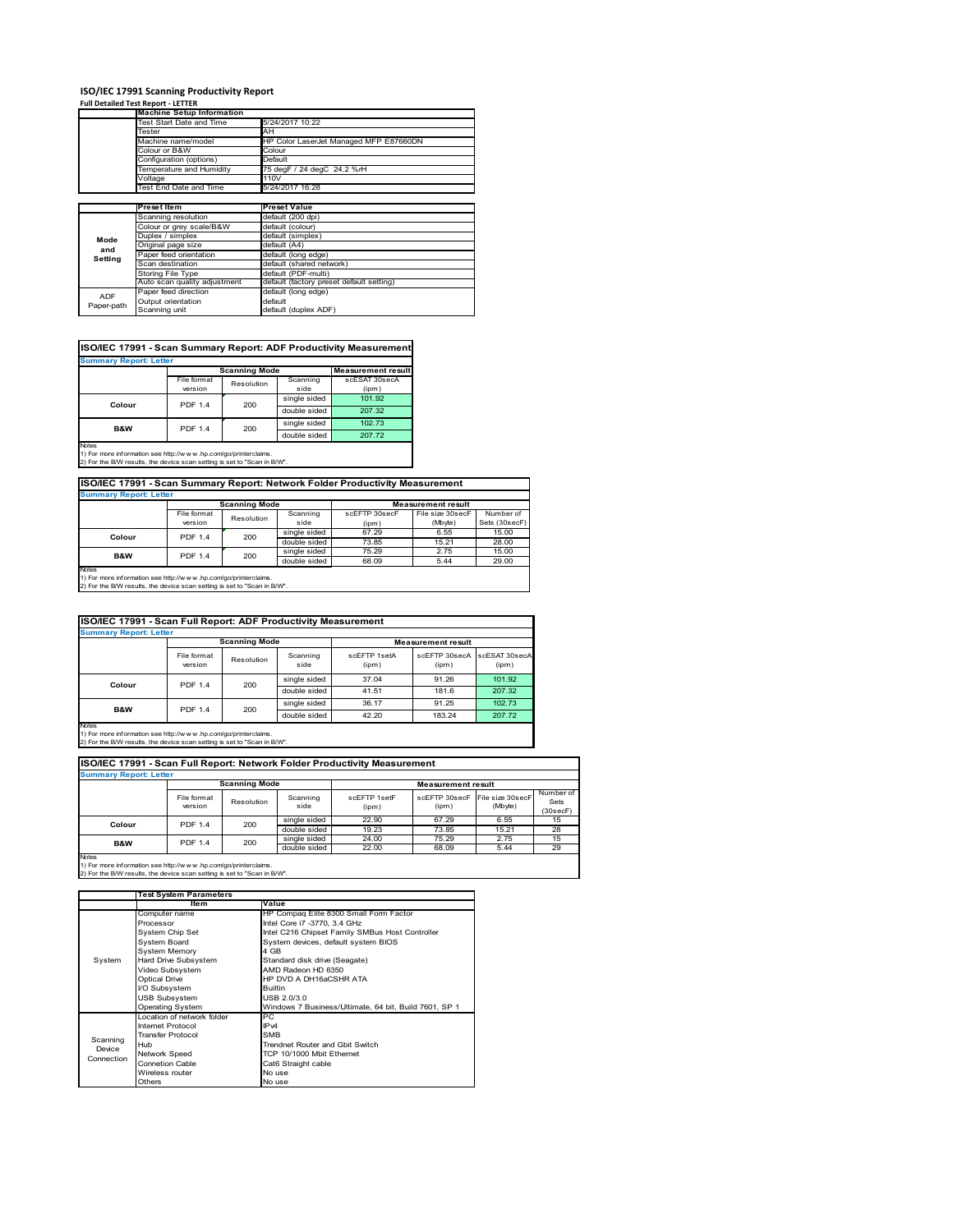# **ISO/IEC 17991 Scanning Productivity Report Full Detailed Test Report ‐ LETTER Machine Setup Information**

|            | <b>Machine Setup Information</b> |                                          |
|------------|----------------------------------|------------------------------------------|
|            | Test Start Date and Time         | 5/24/2017 10:22                          |
|            | Tester                           | AH                                       |
|            | Machine name/model               | HP Color LaserJet Managed MFP E87660DN   |
|            | Colour or B&W                    | Colour                                   |
|            | Configuration (options)          | Default                                  |
|            | Temperature and Humidity         | 75 degF / 24 degC 24.2 %rH               |
|            | Voltage                          | 110V                                     |
|            | Test End Date and Time           | 5/24/2017 16:28                          |
|            |                                  |                                          |
|            | Preset Item                      | <b>Preset Value</b>                      |
|            | Scanning resolution              | default (200 dpi)                        |
|            | Colour or grey scale/B&W         | default (colour)                         |
| Mode       | Duplex / simplex                 | default (simplex)                        |
|            | Original page size               | default (A4)                             |
| and        | Paper feed orientation           | default (long edge)                      |
| Setting    | Scan destination                 | default (shared network)                 |
|            | <b>Storing File Type</b>         | default (PDF-multi)                      |
|            | Auto scan quality adjustment     | default (factory preset default setting) |
| <b>ADF</b> | Paper feed direction             | default (long edge)                      |
|            | Output orientation               | default                                  |
| Paper-path | Scanning unit                    | default (duplex ADF)                     |

| ISO/IEC 17991 - Scan Summary Report: ADF Productivity Measurement |                |                      |              |                           |  |  |  |  |
|-------------------------------------------------------------------|----------------|----------------------|--------------|---------------------------|--|--|--|--|
| <b>Summary Report: Letter</b>                                     |                |                      |              |                           |  |  |  |  |
|                                                                   |                | <b>Scanning Mode</b> |              | <b>Measurement result</b> |  |  |  |  |
|                                                                   | File format    | Resolution           | Scanning     | scESAT 30secA             |  |  |  |  |
|                                                                   | version        |                      | side         | (ipm)                     |  |  |  |  |
| Colour                                                            | <b>PDF 1.4</b> | 200                  | single sided | 101.92                    |  |  |  |  |
|                                                                   |                |                      | double sided | 207.32                    |  |  |  |  |
| <b>B&amp;W</b>                                                    | <b>PDF 1.4</b> | 200                  | single sided | 102.73                    |  |  |  |  |
|                                                                   |                |                      | double sided | 207.72                    |  |  |  |  |
| <b>Notes</b>                                                      |                |                      |              |                           |  |  |  |  |

Notes 1) For more information see http://w w w .hp.com/go/printerclaims. 2) For the B/W results, the device scan setting is set to "Scan in B/W".

**ISO/IEC 17991 - Scan Summary Report: Network Folder Productivity Measurement**

| <b>Summary Report: Letter</b> |                      |            |              |                           |                  |               |  |
|-------------------------------|----------------------|------------|--------------|---------------------------|------------------|---------------|--|
|                               | <b>Scanning Mode</b> |            |              | <b>Measurement result</b> |                  |               |  |
|                               | File format          | Resolution | Scanning     | scEFTP 30secF             | File size 30secF | Number of     |  |
|                               | version              |            | side         | (ipm)                     | (Mbyte)          | Sets (30secF) |  |
| Colour                        | <b>PDF 1.4</b>       | 200        | single sided | 67.29                     | 6.55             | 15.00         |  |
|                               |                      |            | double sided | 73.85                     | 15.21            | 28.00         |  |
| B&W                           | <b>PDF 1.4</b>       | 200        | single sided | 75.29                     | 2.75             | 15.00         |  |
|                               |                      |            | double sided | 68.09                     | 5.44             | 29.00         |  |
| Notes                         |                      |            |              |                           |                  |               |  |

٦

Notes 1) For more information see http://w w w .hp.com/go/printerclaims. 2) For the B/W results, the device scan setting is set to "Scan in B/W".

| ISO/IEC 17991 - Scan Full Report: ADF Productivity Measurement |                        |            |                  |                       |                           |                        |  |  |
|----------------------------------------------------------------|------------------------|------------|------------------|-----------------------|---------------------------|------------------------|--|--|
| <b>Summary Report: Letter</b>                                  |                        |            |                  |                       |                           |                        |  |  |
|                                                                | <b>Scanning Mode</b>   |            |                  |                       | <b>Measurement result</b> |                        |  |  |
|                                                                | File format<br>version | Resolution | Scanning<br>side | scFFTP 1setA<br>(ipm) | scEETP 30secA<br>(ipm)    | scESAT 30secA<br>(ipm) |  |  |
|                                                                | <b>PDF 1.4</b>         | 200        | single sided     | 37.04                 | 91.26                     | 101.92                 |  |  |
| Colour                                                         |                        |            | double sided     | 41.51                 | 181.6                     | 207.32                 |  |  |
| <b>B&amp;W</b>                                                 | <b>PDF 1.4</b>         |            | single sided     | 36.17                 | 91.25                     | 102.73                 |  |  |
|                                                                |                        | 200        | double sided     | 42.20                 | 183.24                    | 207.72                 |  |  |
| <b>Notes</b>                                                   |                        |            |                  |                       |                           |                        |  |  |

Notes 1) For more information see http://w w w .hp.com/go/printerclaims. 2) For the B/W results, the device scan setting is set to "Scan in B/W".

| ISO/IEC 17991 - Scan Full Report: Network Folder Productivity Measurement |                        |            |                  |                           |                        |                             |                               |  |  |
|---------------------------------------------------------------------------|------------------------|------------|------------------|---------------------------|------------------------|-----------------------------|-------------------------------|--|--|
| <b>Summary Report: Letter</b>                                             |                        |            |                  |                           |                        |                             |                               |  |  |
| <b>Scanning Mode</b>                                                      |                        |            |                  | <b>Measurement result</b> |                        |                             |                               |  |  |
|                                                                           | File format<br>version | Resolution | Scanning<br>side | scFFTP 1setF<br>(ipm)     | scEFTP 30secF<br>(ipm) | File size 30secF<br>(Mbyte) | Number of<br>Sets<br>(30secF) |  |  |
| Colour                                                                    | <b>PDF 1.4</b>         | 200        | single sided     | 22.90                     | 67.29                  | 6.55                        | 15                            |  |  |
|                                                                           |                        |            | double sided     | 19.23                     | 73.85                  | 15.21                       | 28                            |  |  |
| <b>B&amp;W</b>                                                            | <b>PDF 1.4</b>         | 200        | single sided     | 24.00                     | 75.29                  | 2.75                        | 15                            |  |  |
|                                                                           |                        |            | double sided     | 22.00                     | 68.09                  | 5.44                        | 29                            |  |  |
| <b>Notes</b>                                                              |                        |            |                  |                           |                        |                             |                               |  |  |

|            | <b>Test System Parameters</b> |                                                       |  |  |  |
|------------|-------------------------------|-------------------------------------------------------|--|--|--|
|            | Item                          | Value                                                 |  |  |  |
|            | Computer name                 | HP Compaq Elite 8300 Small Form Factor                |  |  |  |
|            | Processor                     | Intel Core i7 -3770, 3.4 GHz                          |  |  |  |
|            | System Chip Set               | Intel C216 Chipset Family SMBus Host Controller       |  |  |  |
|            | <b>System Board</b>           | System devices, default system BIOS                   |  |  |  |
|            | <b>System Memory</b>          | 4 GB                                                  |  |  |  |
| System     | Hard Drive Subsystem          | Standard disk drive (Seagate)                         |  |  |  |
|            | Video Subsystem               | AMD Radeon HD 6350                                    |  |  |  |
|            | Optical Drive                 | HP DVD A DH16aCSHR ATA                                |  |  |  |
|            | I/O Subsystem                 | <b>Builtin</b>                                        |  |  |  |
|            | <b>USB Subsystem</b>          | USB 2.0/3.0                                           |  |  |  |
|            | <b>Operating System</b>       | Windows 7 Business/Ultimate, 64 bit, Build 7601, SP 1 |  |  |  |
|            | I ocation of network folder   | PC.                                                   |  |  |  |
|            | Internet Protocol             | IP <sub>v4</sub>                                      |  |  |  |
| Scanning   | <b>Transfer Protocol</b>      | <b>SMB</b>                                            |  |  |  |
| Device     | Hub                           | Trendnet Router and Gbit Switch                       |  |  |  |
| Connection | Network Speed                 | TCP 10/1000 Mbit Ethernet                             |  |  |  |
|            | <b>Connetion Cable</b>        | Cat6 Straight cable                                   |  |  |  |
|            | Wireless router               | No use                                                |  |  |  |
|            | Others                        | No use                                                |  |  |  |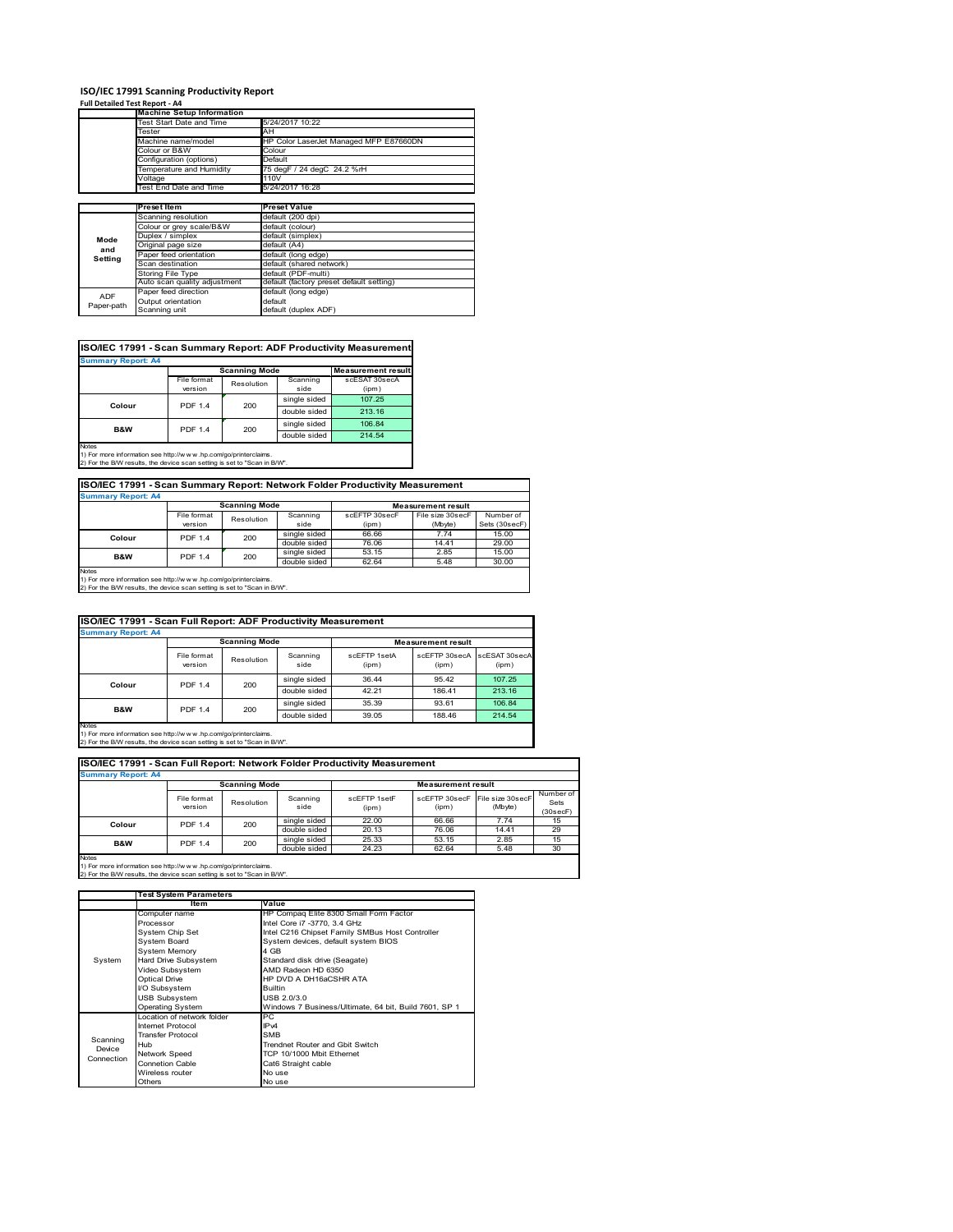# **ISO/IEC 17991 Scanning Productivity Report Full Detailed Test Report ‐ A4 Machine Setup Information**

|            | <b>Machine Setup Information</b> |                                          |
|------------|----------------------------------|------------------------------------------|
|            | Fest Start Date and Time         | 5/24/2017 10:22                          |
|            | Tester                           | AH                                       |
|            | Machine name/model               | HP Color LaserJet Managed MFP E87660DN   |
|            | Colour or B&W                    | Colour                                   |
|            | Configuration (options)          | Default                                  |
|            | Temperature and Humidity         | 75 degF / 24 degC 24.2 %rH               |
|            | Voltage                          | 110V                                     |
|            | Test End Date and Time           | 5/24/2017 16:28                          |
|            |                                  |                                          |
|            | <b>Preset Item</b>               | <b>Preset Value</b>                      |
|            | Scanning resolution              | default (200 dpi)                        |
|            | Colour or grey scale/B&W         | default (colour)                         |
| Mode       | Duplex / simplex                 | default (simplex)                        |
| and        | Original page size               | default (A4)                             |
|            | Paper feed orientation           | default (long edge)                      |
| Setting    | Scan destination                 | default (shared network)                 |
|            | <b>Storing File Type</b>         | default (PDF-multi)                      |
|            | Auto scan quality adjustment     | default (factory preset default setting) |
| <b>ADF</b> | Paper feed direction             | default (long edge)                      |
|            | Output orientation               | default                                  |
| Paper-path | Scanning unit                    | default (duplex ADF)                     |

| ISO/IEC 17991 - Scan Summary Report: ADF Productivity Measurement |                |                      |              |                           |  |  |  |  |
|-------------------------------------------------------------------|----------------|----------------------|--------------|---------------------------|--|--|--|--|
| <b>Summary Report: A4</b>                                         |                |                      |              |                           |  |  |  |  |
|                                                                   |                | <b>Scanning Mode</b> |              | <b>Measurement result</b> |  |  |  |  |
|                                                                   | File format    | Resolution           | Scanning     | scESAT 30secA             |  |  |  |  |
|                                                                   | version        |                      | side         | (ipm)                     |  |  |  |  |
| Colour                                                            | <b>PDF 1.4</b> | 200                  | single sided | 107.25                    |  |  |  |  |
|                                                                   |                |                      | double sided | 213.16                    |  |  |  |  |
| <b>B&amp;W</b>                                                    | <b>PDF 1.4</b> | 200                  | single sided | 106.84                    |  |  |  |  |
|                                                                   |                |                      | double sided | 214.54                    |  |  |  |  |
| <b>Notes</b>                                                      |                |                      |              |                           |  |  |  |  |

Notes 1) For more information see http://w w w .hp.com/go/printerclaims. 2) For the B/W results, the device scan setting is set to "Scan in B/W".

| ISO/IEC 17991 - Scan Summary Report: Network Folder Productivity Measurement |                |            |              |               |                  |               |  |
|------------------------------------------------------------------------------|----------------|------------|--------------|---------------|------------------|---------------|--|
| <b>Summary Report: A4</b>                                                    |                |            |              |               |                  |               |  |
| <b>Scanning Mode</b><br><b>Measurement result</b>                            |                |            |              |               |                  |               |  |
|                                                                              | File format    | Resolution | Scanning     | scEFTP 30secF | File size 30secF | Number of     |  |
|                                                                              | version        |            | side         | (ipm)         | (Mbyte)          | Sets (30secF) |  |
| Colour                                                                       | <b>PDF 1.4</b> | 200        | single sided | 66.66         | 7.74             | 15.00         |  |
|                                                                              |                |            | double sided | 76.06         | 14.41            | 29.00         |  |
| <b>B&amp;W</b>                                                               | <b>PDF 1.4</b> | 200        | single sided | 53.15         | 2.85             | 15.00         |  |
|                                                                              |                |            | double sided | 62.64         | 5.48             | 30.00         |  |

Notes 1) For more information see http://w w w .hp.com/go/printerclaims. 2) For the B/W results, the device scan setting is set to "Scan in B/W".

| ISO/IEC 17991 - Scan Full Report: ADF Productivity Measurement |                        |                      |                  |                       |                           |                        |  |  |
|----------------------------------------------------------------|------------------------|----------------------|------------------|-----------------------|---------------------------|------------------------|--|--|
| <b>Summary Report: A4</b>                                      |                        |                      |                  |                       |                           |                        |  |  |
|                                                                |                        | <b>Scanning Mode</b> |                  |                       | <b>Measurement result</b> |                        |  |  |
|                                                                | File format<br>version | Resolution           | Scanning<br>side | scFFTP 1setA<br>(ipm) | scEFTP 30secA<br>(ipm)    | scESAT 30secA<br>(ipm) |  |  |
|                                                                | <b>PDF 1.4</b>         | 200                  | single sided     | 36.44                 | 95.42                     | 107.25                 |  |  |
| Colour                                                         |                        |                      | double sided     | 42.21                 | 186.41                    | 213.16                 |  |  |
| <b>B&amp;W</b>                                                 | <b>PDF 1.4</b>         |                      | single sided     | 35.39                 | 93.61                     | 106.84                 |  |  |
|                                                                |                        | 200                  | double sided     | 39.05                 | 188.46                    | 214.54                 |  |  |
| Notes                                                          |                        |                      |                  |                       |                           |                        |  |  |

Notes 1) For more information see http://w w w .hp.com/go/printerclaims. 2) For the B/W results, the device scan setting is set to "Scan in B/W".

| ISO/IEC 17991 - Scan Full Report: Network Folder Productivity Measurement |                        |                       |                  |                       |                           |                             |                               |  |  |
|---------------------------------------------------------------------------|------------------------|-----------------------|------------------|-----------------------|---------------------------|-----------------------------|-------------------------------|--|--|
| <b>Summary Report: A4</b>                                                 |                        |                       |                  |                       |                           |                             |                               |  |  |
|                                                                           |                        | <b>Scanning Mode</b>  |                  |                       | <b>Measurement result</b> |                             |                               |  |  |
|                                                                           | File format<br>version | Resolution            | Scanning<br>side | scEFTP 1setF<br>(ipm) | scEFTP 30secF<br>(ipm)    | File size 30secF<br>(Mbyte) | Number of<br>Sets<br>(30secF) |  |  |
| Colour                                                                    |                        | 200<br><b>PDF 1.4</b> | single sided     | 22.00                 | 66.66                     | 7.74                        | 15                            |  |  |
|                                                                           |                        |                       | double sided     | 20.13                 | 76.06                     | 14.41                       | 29                            |  |  |
| <b>B&amp;W</b>                                                            | <b>PDF 1.4</b>         | 200                   | single sided     | 25.33                 | 53.15                     | 2.85                        | 15                            |  |  |
|                                                                           |                        |                       | double sided     | 24.23                 | 62.64                     | 5.48                        | 30                            |  |  |
| <b>Notes</b>                                                              |                        |                       |                  |                       |                           |                             |                               |  |  |

 $\overline{\phantom{a}}$ 

|            | <b>Test System Parameters</b> |                                                       |  |  |
|------------|-------------------------------|-------------------------------------------------------|--|--|
|            | Item                          | Value                                                 |  |  |
|            | Computer name                 | HP Compaq Elite 8300 Small Form Factor                |  |  |
|            | Processor                     | Intel Core i7 -3770, 3.4 GHz                          |  |  |
|            | System Chip Set               | Intel C216 Chipset Family SMBus Host Controller       |  |  |
|            | System Board                  | System devices, default system BIOS                   |  |  |
|            | <b>System Memory</b>          | 4 GB                                                  |  |  |
| System     | Hard Drive Subsystem          | Standard disk drive (Seagate)                         |  |  |
|            | Video Subsystem               | AMD Radeon HD 6350                                    |  |  |
|            | Optical Drive                 | HP DVD A DH16aCSHR ATA                                |  |  |
|            | I/O Subsystem                 | <b>Builtin</b>                                        |  |  |
|            | <b>USB Subsystem</b>          | USB 2.0/3.0                                           |  |  |
|            | <b>Operating System</b>       | Windows 7 Business/Ultimate, 64 bit, Build 7601, SP 1 |  |  |
|            | I ocation of network folder   | PC.                                                   |  |  |
|            | Internet Protocol             | IP <sub>v4</sub>                                      |  |  |
| Scanning   | <b>Transfer Protocol</b>      | <b>SMB</b>                                            |  |  |
| Device     | Hub                           | Trendnet Router and Gbit Switch                       |  |  |
| Connection | Network Speed                 | TCP 10/1000 Mbit Ethernet                             |  |  |
|            | Connetion Cable               | Cat6 Straight cable                                   |  |  |
|            | Wireless router               | No use                                                |  |  |
|            | Others                        | No use                                                |  |  |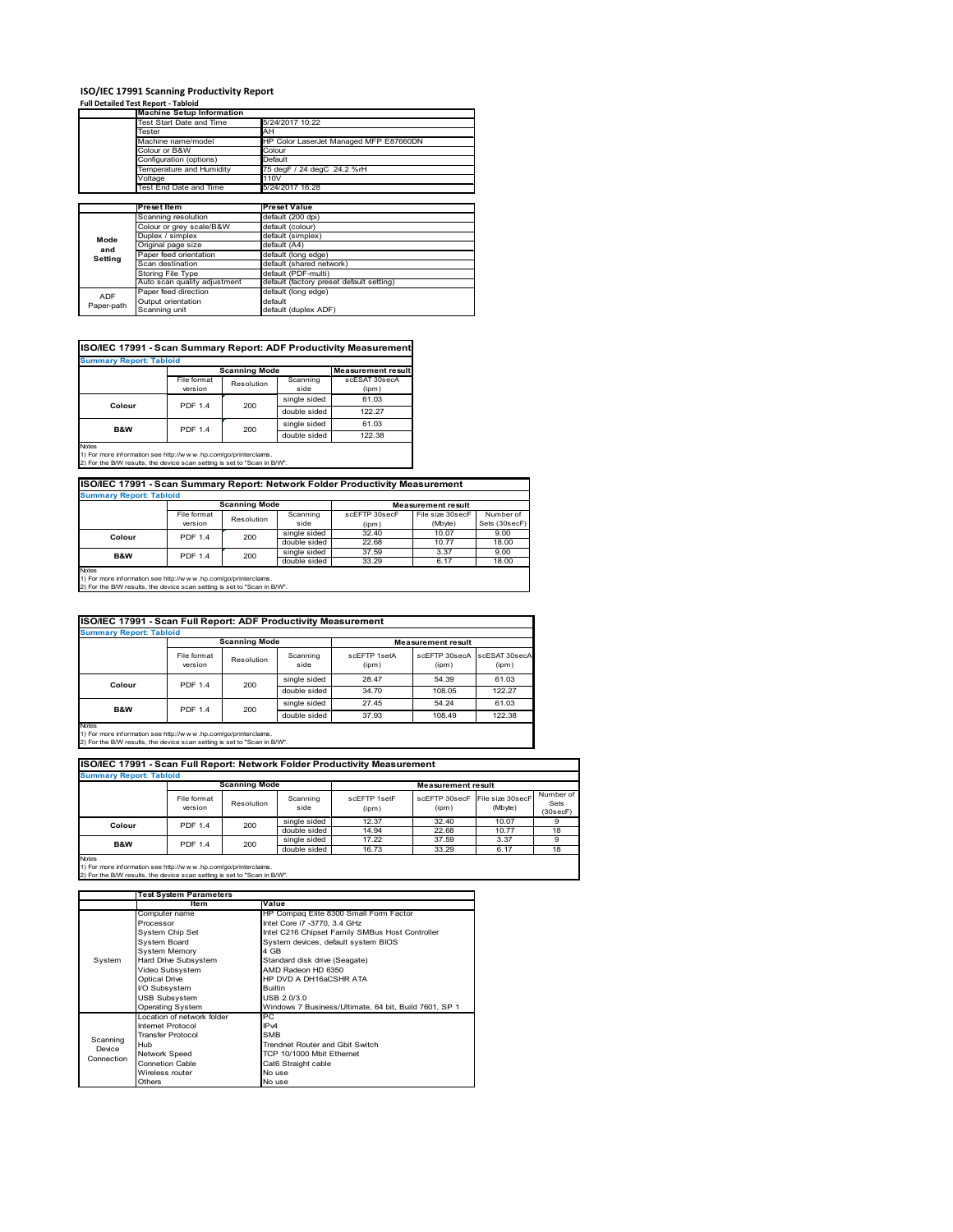# **ISO/IEC 17991 Scanning Productivity Report Full Detailed Test Report ‐ Tabloid Machine Setup Information**

|            | <b>Machine Setup Information</b> |                                          |  |  |  |  |
|------------|----------------------------------|------------------------------------------|--|--|--|--|
|            | Test Start Date and Time         | 5/24/2017 10:22                          |  |  |  |  |
|            | Tester                           | AH                                       |  |  |  |  |
|            | Machine name/model               | HP Color LaserJet Managed MFP E87660DN   |  |  |  |  |
|            | Colour or B&W                    | Colour                                   |  |  |  |  |
|            | Configuration (options)          | Default                                  |  |  |  |  |
|            | Temperature and Humidity         | 75 degF / 24 degC 24.2 %rH               |  |  |  |  |
|            | Voltage                          | 110V                                     |  |  |  |  |
|            | Test End Date and Time           | 5/24/2017 16:28                          |  |  |  |  |
|            |                                  |                                          |  |  |  |  |
|            | Preset Item                      | <b>Preset Value</b>                      |  |  |  |  |
|            | Scanning resolution              | default (200 dpi)                        |  |  |  |  |
|            | Colour or grey scale/B&W         | default (colour)                         |  |  |  |  |
| Mode       | Duplex / simplex                 | default (simplex)                        |  |  |  |  |
|            | Original page size               | default (A4)                             |  |  |  |  |
| and        | Paper feed orientation           | default (long edge)                      |  |  |  |  |
| Setting    | Scan destination                 | default (shared network)                 |  |  |  |  |
|            | <b>Storing File Type</b>         | default (PDF-multi)                      |  |  |  |  |
|            | Auto scan quality adjustment     | default (factory preset default setting) |  |  |  |  |
| <b>ADF</b> | Paper feed direction             | default (long edge)                      |  |  |  |  |
|            | Output orientation               | default                                  |  |  |  |  |
| Paper-path | Scanning unit                    | default (duplex ADF)                     |  |  |  |  |

| <b>Summary Report: Tabloid</b> |                |                      |              |                           |
|--------------------------------|----------------|----------------------|--------------|---------------------------|
|                                |                | <b>Scanning Mode</b> |              | <b>Measurement result</b> |
|                                | File format    | Resolution           | Scanning     | scESAT 30secA             |
|                                | version        |                      | side         | (ipm)                     |
| Colour                         | <b>PDF 1.4</b> | 200                  | single sided | 61.03                     |
|                                |                |                      | double sided | 122.27                    |
| <b>B&amp;W</b>                 | <b>PDF 1.4</b> | 200                  | single sided | 61.03                     |
|                                |                |                      | double sided | 122.38                    |

1) For more information see http://w w w .hp.com/go/printerclaims. 2) For the B/W results, the device scan setting is set to "Scan in B/W".

| ISO/IEC 17991 - Scan Summary Report: Network Folder Productivity Measurement |                |            |              |               |                  |               |  |  |
|------------------------------------------------------------------------------|----------------|------------|--------------|---------------|------------------|---------------|--|--|
| <b>Summary Report: Tabloid</b>                                               |                |            |              |               |                  |               |  |  |
| <b>Scanning Mode</b><br><b>Measurement result</b>                            |                |            |              |               |                  |               |  |  |
|                                                                              | File format    | Resolution | Scanning     | scEFTP 30secF | File size 30secF | Number of     |  |  |
|                                                                              | version        |            | side         | (ipm)         | (Mbyte)          | Sets (30secF) |  |  |
| Colour                                                                       | <b>PDF 1.4</b> | 200        | single sided | 32.40         | 10.07            | 9.00          |  |  |
|                                                                              |                |            | double sided | 22.68         | 10.77            | 18.00         |  |  |
| <b>B&amp;W</b>                                                               | <b>PDF 1.4</b> | 200        | single sided | 37.59         | 3.37             | 9.00          |  |  |
|                                                                              |                |            | double sided | 33.29         | 6.17             | 18.00         |  |  |
| hlatan                                                                       |                |            |              |               |                  |               |  |  |

Notes 1) For more information see http://w w w .hp.com/go/printerclaims. 2) For the B/W results, the device scan setting is set to "Scan in B/W".

| ISO/IEC 17991 - Scan Full Report: ADF Productivity Measurement                                                                                                 |                        |                      |                  |                       |                           |                        |  |
|----------------------------------------------------------------------------------------------------------------------------------------------------------------|------------------------|----------------------|------------------|-----------------------|---------------------------|------------------------|--|
| <b>Summary Report: Tabloid</b>                                                                                                                                 |                        |                      |                  |                       |                           |                        |  |
|                                                                                                                                                                |                        | <b>Scanning Mode</b> |                  |                       | <b>Measurement result</b> |                        |  |
|                                                                                                                                                                | File format<br>version | Resolution           | Scanning<br>side | scEFTP 1setA<br>(ipm) | scEFTP 30secA<br>(ipm)    | scESAT 30secA<br>(ipm) |  |
|                                                                                                                                                                | <b>PDF 1.4</b>         | 200                  | single sided     | 28.47                 | 54.39                     | 61.03                  |  |
| Colour                                                                                                                                                         |                        |                      | double sided     | 34.70                 | 108.05                    | 122.27                 |  |
|                                                                                                                                                                |                        |                      | single sided     | 27.45                 | 54.24                     | 61.03                  |  |
| <b>B&amp;W</b>                                                                                                                                                 | <b>PDF 1.4</b>         | 200                  | double sided     | 37.93                 | 108.49                    | 122.38                 |  |
| <b>Notes</b><br>1) For more information see http://w w w .hp.com/go/printerclaims.<br>2) For the B/W results, the device scan setting is set to "Scan in B/W". |                        |                      |                  |                       |                           |                        |  |

| ISO/IEC 17991 - Scan Full Report: Network Folder Productivity Measurement |                        |            |                  |                       |                                         |         |                               |  |  |
|---------------------------------------------------------------------------|------------------------|------------|------------------|-----------------------|-----------------------------------------|---------|-------------------------------|--|--|
| <b>Summary Report: Tabloid</b>                                            |                        |            |                  |                       |                                         |         |                               |  |  |
| <b>Scanning Mode</b>                                                      |                        |            |                  |                       | <b>Measurement result</b>               |         |                               |  |  |
|                                                                           | File format<br>version | Resolution | Scanning<br>side | scEFTP 1setF<br>(ipm) | scEFTP 30secF File size 30secF<br>(ipm) | (Mbyte) | Number of<br>Sets<br>(30secF) |  |  |
| Colour                                                                    | <b>PDF 1.4</b>         | 200        | single sided     | 12.37                 | 32.40                                   | 10.07   |                               |  |  |
|                                                                           |                        |            | double sided     | 14.94                 | 22.68                                   | 10.77   | 18                            |  |  |
| <b>B&amp;W</b><br>.                                                       | <b>PDF 1.4</b>         | 200        | single sided     | 17.22                 | 37.59                                   | 3.37    |                               |  |  |
|                                                                           |                        |            | double sided     | 16.73                 | 33.29                                   | 6.17    | 18                            |  |  |

|            | <b>Test System Parameters</b> |                                                       |  |  |  |
|------------|-------------------------------|-------------------------------------------------------|--|--|--|
|            | Item                          | Value                                                 |  |  |  |
|            | Computer name                 | HP Compaq Elite 8300 Small Form Factor                |  |  |  |
|            | Processor                     | Intel Core i7 -3770, 3.4 GHz                          |  |  |  |
|            | System Chip Set               | Intel C216 Chipset Family SMBus Host Controller       |  |  |  |
|            | <b>System Board</b>           | System devices, default system BIOS                   |  |  |  |
|            | <b>System Memory</b>          | 4 GB                                                  |  |  |  |
| System     | Hard Drive Subsystem          | Standard disk drive (Seagate)                         |  |  |  |
|            | Video Subsystem               | AMD Radeon HD 6350                                    |  |  |  |
|            | Optical Drive                 | HP DVD A DH16aCSHR ATA                                |  |  |  |
|            | I/O Subsystem                 | <b>Builtin</b>                                        |  |  |  |
|            | <b>USB Subsystem</b>          | USB 2.0/3.0                                           |  |  |  |
|            | Operating System              | Windows 7 Business/Ultimate, 64 bit, Build 7601, SP 1 |  |  |  |
|            | Location of network folder    | РC                                                    |  |  |  |
|            | Internet Protocol             | IP <sub>v4</sub>                                      |  |  |  |
| Scanning   | <b>Transfer Protocol</b>      | <b>SMB</b>                                            |  |  |  |
| Device     | Hub                           | Trendnet Router and Gbit Switch                       |  |  |  |
| Connection | Network Speed                 | TCP 10/1000 Mbit Ethernet                             |  |  |  |
|            | <b>Connetion Cable</b>        | Cat6 Straight cable                                   |  |  |  |
|            | Wireless router               | No use                                                |  |  |  |
|            | Others                        | No use                                                |  |  |  |